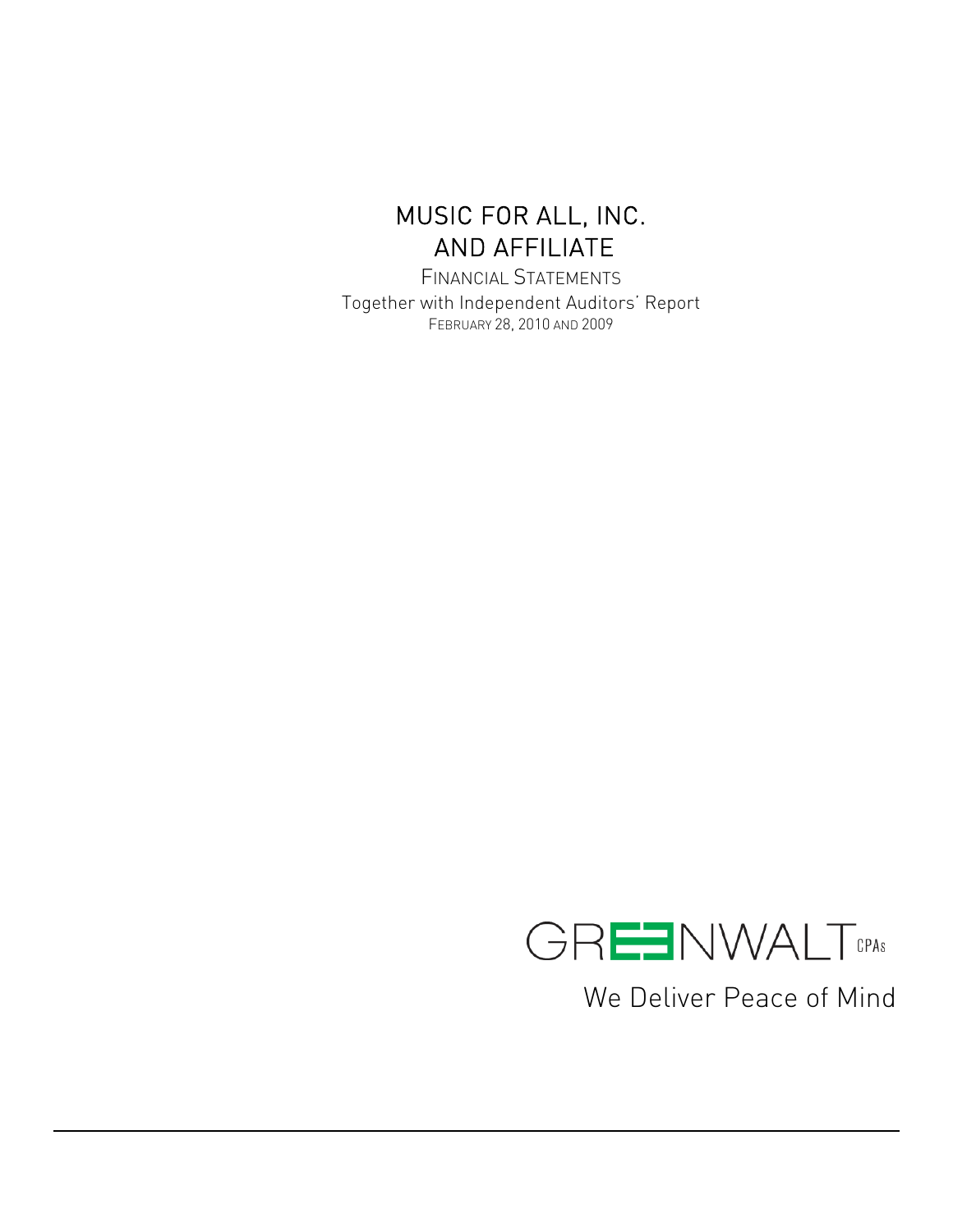FINANCIAL STATEMENTS Together with Independent Auditors' Report FEBRUARY 28, 2010 AND 2009



We Deliver Peace of Mind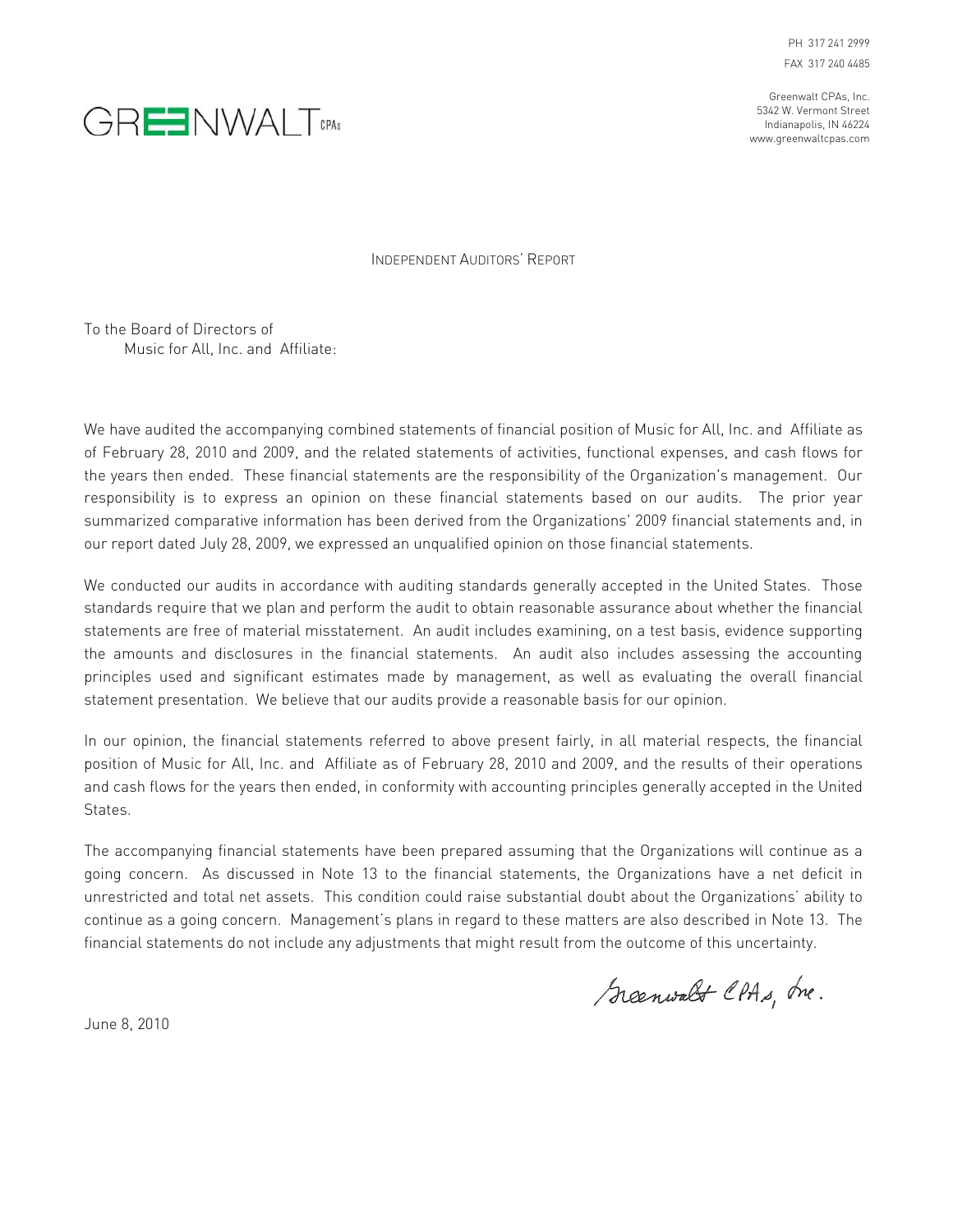PH 317 241 2999 FAX 317 240 4485

Greenwalt CPAs, Inc. 5342 W. Vermont Street Indianapolis, IN 46224 www.greenwaltcpas.com



INDEPENDENT AUDITORS' REPORT

To the Board of Directors of Music for All, Inc. and Affiliate:

We have audited the accompanying combined statements of financial position of Music for All, Inc. and Affiliate as of February 28, 2010 and 2009, and the related statements of activities, functional expenses, and cash flows for the years then ended. These financial statements are the responsibility of the Organization's management. Our responsibility is to express an opinion on these financial statements based on our audits. The prior year summarized comparative information has been derived from the Organizations' 2009 financial statements and, in our report dated July 28, 2009, we expressed an unqualified opinion on those financial statements.

We conducted our audits in accordance with auditing standards generally accepted in the United States. Those standards require that we plan and perform the audit to obtain reasonable assurance about whether the financial statements are free of material misstatement. An audit includes examining, on a test basis, evidence supporting the amounts and disclosures in the financial statements. An audit also includes assessing the accounting principles used and significant estimates made by management, as well as evaluating the overall financial statement presentation. We believe that our audits provide a reasonable basis for our opinion.

In our opinion, the financial statements referred to above present fairly, in all material respects, the financial position of Music for All, Inc. and Affiliate as of February 28, 2010 and 2009, and the results of their operations and cash flows for the years then ended, in conformity with accounting principles generally accepted in the United States.

The accompanying financial statements have been prepared assuming that the Organizations will continue as a going concern. As discussed in Note 13 to the financial statements, the Organizations have a net deficit in unrestricted and total net assets. This condition could raise substantial doubt about the Organizations' ability to continue as a going concern. Management's plans in regard to these matters are also described in Note 13. The financial statements do not include any adjustments that might result from the outcome of this uncertainty.

Greenwalt CPAs, tre.

June 8, 2010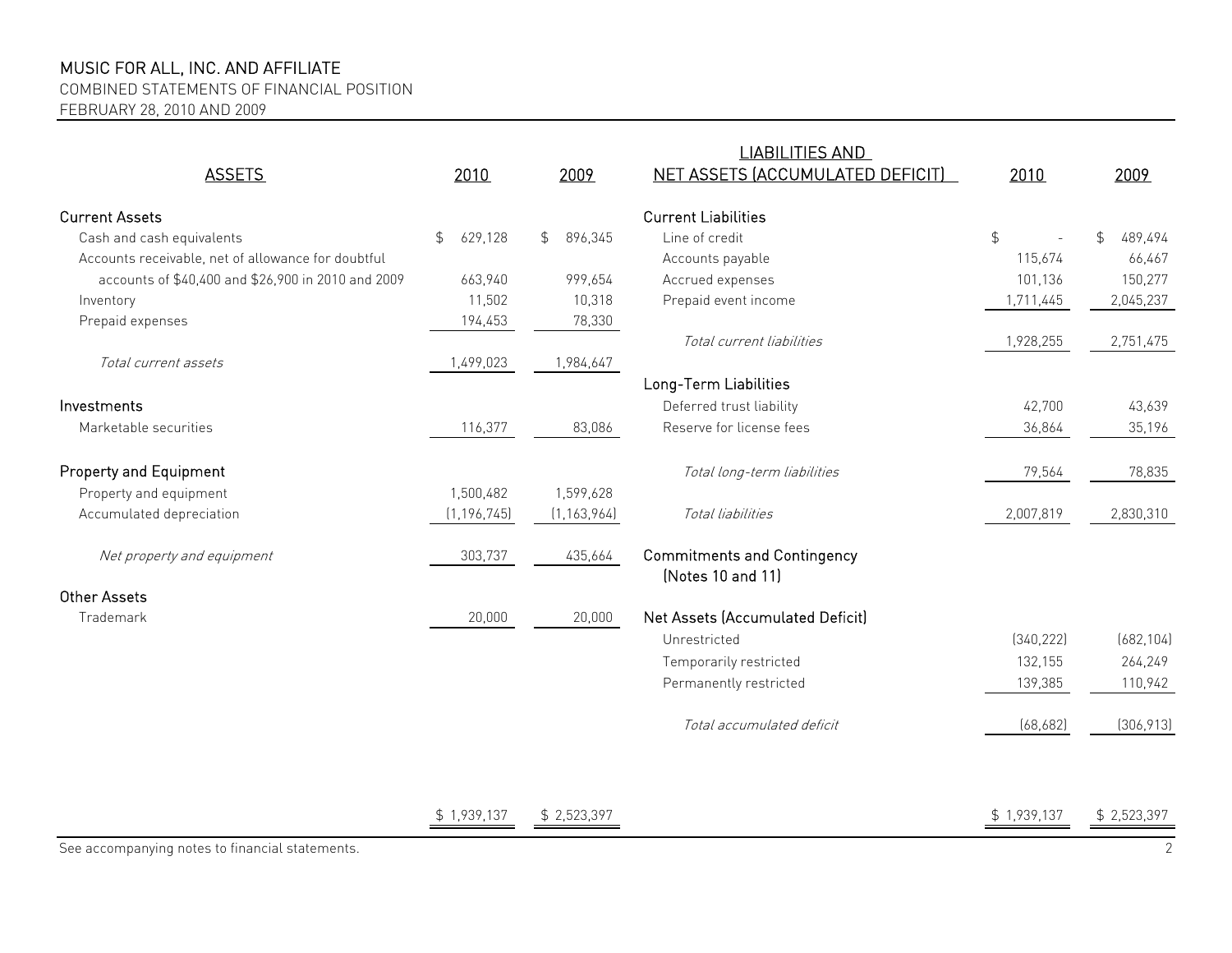COMBINED STATEMENTS OF FINANCIAL POSITION

FEBRUARY 28, 2010 AND 2009

|                                                    |               |                           | <b>LIABILITIES AND</b>                                  |               |               |
|----------------------------------------------------|---------------|---------------------------|---------------------------------------------------------|---------------|---------------|
| <b>ASSETS</b>                                      | 2010          | 2009                      | NET ASSETS (ACCUMULATED DEFICIT)                        | 2010          | 2009          |
| <b>Current Assets</b>                              |               |                           | <b>Current Liabilities</b>                              |               |               |
| Cash and cash equivalents                          | \$<br>629,128 | $\mathfrak{L}$<br>896,345 | Line of credit                                          | $\frac{1}{2}$ | 489,494<br>\$ |
| Accounts receivable, net of allowance for doubtful |               |                           | Accounts payable                                        | 115,674       | 66,467        |
| accounts of \$40,400 and \$26,900 in 2010 and 2009 | 663,940       | 999,654                   | Accrued expenses                                        | 101,136       | 150,277       |
| Inventory                                          | 11,502        | 10,318                    | Prepaid event income                                    | 1,711,445     | 2,045,237     |
| Prepaid expenses                                   | 194,453       | 78,330                    |                                                         |               |               |
|                                                    |               |                           | Total current liabilities                               | 1,928,255     | 2,751,475     |
| Total current assets                               | 1,499,023     | 1,984,647                 |                                                         |               |               |
|                                                    |               |                           | Long-Term Liabilities                                   |               |               |
| Investments                                        |               |                           | Deferred trust liability                                | 42,700        | 43,639        |
| Marketable securities                              | 116,377       | 83,086                    | Reserve for license fees                                | 36,864        | 35,196        |
| <b>Property and Equipment</b>                      |               |                           | Total long-term liabilities                             | 79,564        | 78,835        |
| Property and equipment                             | 1,500,482     | 1,599,628                 |                                                         |               |               |
| Accumulated depreciation                           | (1, 196, 745) | (1, 163, 964)             | Total liabilities                                       | 2,007,819     | 2,830,310     |
| Net property and equipment                         | 303,737       | 435,664                   | <b>Commitments and Contingency</b><br>(Notes 10 and 11) |               |               |
| <b>Other Assets</b>                                |               |                           |                                                         |               |               |
| Trademark                                          | 20,000        | 20,000                    | Net Assets (Accumulated Deficit)                        |               |               |
|                                                    |               |                           | Unrestricted                                            | (340, 222)    | (682, 104)    |
|                                                    |               |                           | Temporarily restricted                                  | 132,155       | 264,249       |
|                                                    |               |                           | Permanently restricted                                  | 139,385       | 110,942       |
|                                                    |               |                           | Total accumulated deficit                               | (68, 682)     | (306, 913)    |
|                                                    |               |                           |                                                         |               |               |

 $\frac{\text{\$} 1,939,137}{\text{\$} 2,523,397}$   $\frac{\text{\$} 2,523,397}{\text{\$} 2,523,397}$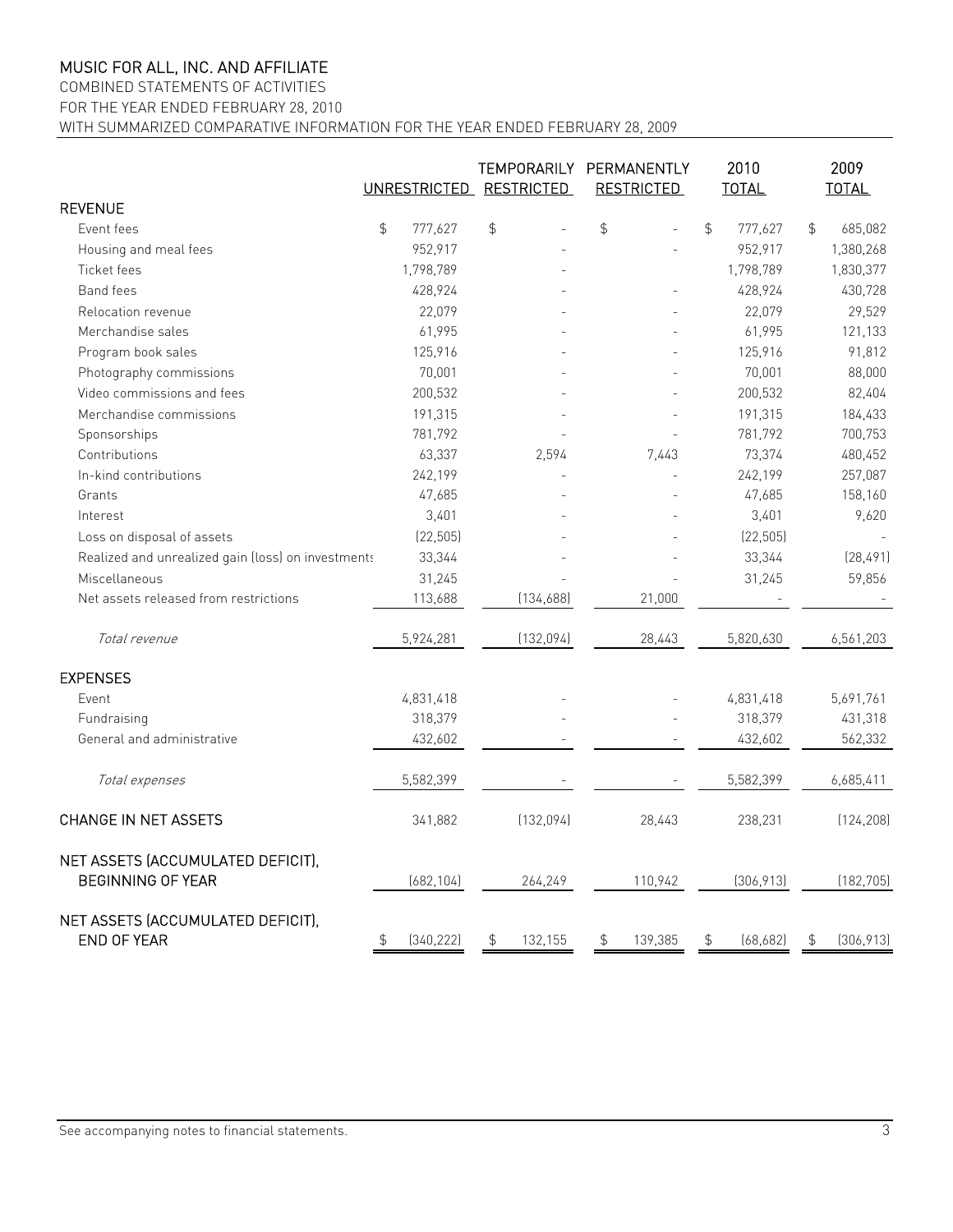#### COMBINED STATEMENTS OF ACTIVITIES

FOR THE YEAR ENDED FEBRUARY 28, 2010

WITH SUMMARIZED COMPARATIVE INFORMATION FOR THE YEAR ENDED FEBRUARY 28, 2009

|                                                               | UNRESTRICTED RESTRICTED |            | TEMPORARILY   |            | PERMANENTLY<br><b>RESTRICTED</b> |         | 2010<br><b>TOTAL</b> |            | 2009<br><b>TOTAL</b> |            |
|---------------------------------------------------------------|-------------------------|------------|---------------|------------|----------------------------------|---------|----------------------|------------|----------------------|------------|
| <b>REVENUE</b>                                                |                         |            |               |            |                                  |         |                      |            |                      |            |
| Event fees                                                    | $\frac{1}{2}$           | 777,627    | $\frac{4}{5}$ |            | $\frac{4}{5}$                    |         | $\frac{1}{2}$        | 777,627    | $\frac{1}{2}$        | 685,082    |
| Housing and meal fees                                         |                         | 952,917    |               |            |                                  |         |                      | 952,917    |                      | 1,380,268  |
| Ticket fees                                                   |                         | 1,798,789  |               |            |                                  |         |                      | 1,798,789  |                      | 1,830,377  |
| <b>Band fees</b>                                              |                         | 428,924    |               |            |                                  |         |                      | 428,924    |                      | 430,728    |
| Relocation revenue                                            |                         | 22,079     |               |            |                                  |         |                      | 22,079     |                      | 29,529     |
| Merchandise sales                                             |                         | 61,995     |               |            |                                  |         |                      | 61,995     |                      | 121,133    |
| Program book sales                                            |                         | 125,916    |               |            |                                  |         |                      | 125,916    |                      | 91,812     |
| Photography commissions                                       |                         | 70,001     |               |            |                                  |         |                      | 70,001     |                      | 88,000     |
| Video commissions and fees                                    |                         | 200,532    |               |            |                                  |         |                      | 200,532    |                      | 82,404     |
| Merchandise commissions                                       |                         | 191,315    |               |            |                                  |         |                      | 191,315    |                      | 184,433    |
| Sponsorships                                                  |                         | 781,792    |               |            |                                  |         |                      | 781,792    |                      | 700,753    |
| Contributions                                                 |                         | 63,337     |               | 2,594      |                                  | 7.443   |                      | 73,374     |                      | 480,452    |
| In-kind contributions                                         |                         | 242,199    |               |            |                                  |         |                      | 242,199    |                      | 257,087    |
| Grants                                                        |                         | 47,685     |               |            |                                  |         |                      | 47,685     |                      | 158,160    |
| Interest                                                      |                         | 3,401      |               |            |                                  |         |                      | 3,401      |                      | 9,620      |
| Loss on disposal of assets                                    |                         | (22, 505)  |               |            |                                  |         |                      | (22, 505)  |                      |            |
| Realized and unrealized gain (loss) on investments            |                         | 33,344     |               |            |                                  |         |                      | 33,344     |                      | (28, 491)  |
| Miscellaneous                                                 |                         | 31,245     |               |            |                                  |         |                      | 31,245     |                      | 59,856     |
| Net assets released from restrictions                         |                         | 113,688    |               | (134, 688) |                                  | 21,000  |                      |            |                      |            |
| Total revenue                                                 |                         | 5,924,281  |               | (132, 094) |                                  | 28,443  |                      | 5,820,630  |                      | 6,561,203  |
| <b>EXPENSES</b>                                               |                         |            |               |            |                                  |         |                      |            |                      |            |
| Event                                                         |                         | 4,831,418  |               |            |                                  |         |                      | 4,831,418  |                      | 5,691,761  |
| Fundraising                                                   |                         | 318,379    |               |            |                                  |         |                      | 318,379    |                      | 431,318    |
| General and administrative                                    |                         | 432,602    |               |            |                                  |         |                      | 432,602    |                      | 562,332    |
| Total expenses                                                |                         | 5,582,399  |               |            |                                  |         |                      | 5,582,399  |                      | 6,685,411  |
| <b>CHANGE IN NET ASSETS</b>                                   |                         | 341,882    |               | (132, 094) |                                  | 28,443  |                      | 238,231    |                      | (124, 208) |
| NET ASSETS (ACCUMULATED DEFICIT),<br><b>BEGINNING OF YEAR</b> |                         | (682, 104) |               | 264,249    |                                  | 110,942 |                      | (306, 913) |                      | (182, 705) |
| NET ASSETS (ACCUMULATED DEFICIT).<br><b>END OF YEAR</b>       | \$                      | (340, 222) | \$            | 132,155    | \$                               | 139,385 | \$                   | (68, 682)  | \$                   | (306, 913) |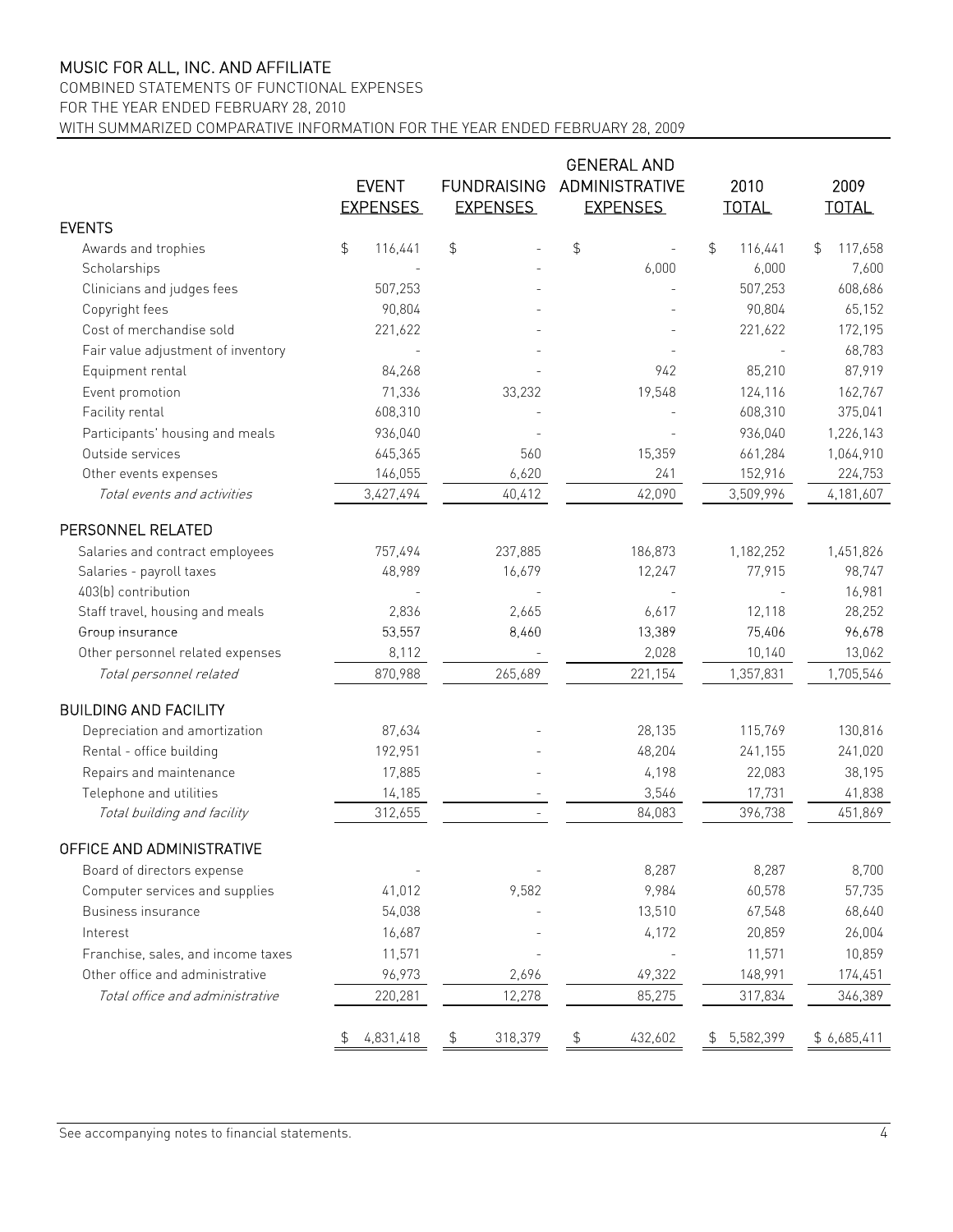COMBINED STATEMENTS OF FUNCTIONAL EXPENSES

FOR THE YEAR ENDED FEBRUARY 28, 2010

WITH SUMMARIZED COMPARATIVE INFORMATION FOR THE YEAR ENDED FEBRUARY 28, 2009

|                                    | <b>GENERAL AND</b> |                    |         |                 |                       |              |           |              |             |
|------------------------------------|--------------------|--------------------|---------|-----------------|-----------------------|--------------|-----------|--------------|-------------|
|                                    | <b>EVENT</b>       | <b>FUNDRAISING</b> |         |                 | <b>ADMINISTRATIVE</b> |              | 2010      |              | 2009        |
|                                    | <b>EXPENSES</b>    | <b>EXPENSES</b>    |         | <b>EXPENSES</b> |                       | <b>TOTAL</b> |           | <b>TOTAL</b> |             |
| <b>EVENTS</b>                      |                    |                    |         |                 |                       |              |           |              |             |
| Awards and trophies                | \$<br>116,441      | \$                 |         | $\updownarrow$  |                       | \$           | 116,441   | \$           | 117,658     |
| Scholarships                       |                    |                    |         |                 | 6,000                 |              | 6,000     |              | 7,600       |
| Clinicians and judges fees         | 507,253            |                    |         |                 |                       |              | 507,253   |              | 608,686     |
| Copyright fees                     | 90,804             |                    |         |                 |                       |              | 90,804    |              | 65,152      |
| Cost of merchandise sold           | 221,622            |                    |         |                 |                       |              | 221,622   |              | 172,195     |
| Fair value adjustment of inventory |                    |                    |         |                 |                       |              |           |              | 68,783      |
| Equipment rental                   | 84,268             |                    |         |                 | 942                   |              | 85,210    |              | 87,919      |
| Event promotion                    | 71,336             |                    | 33,232  |                 | 19,548                |              | 124,116   |              | 162,767     |
| Facility rental                    | 608,310            |                    |         |                 |                       |              | 608,310   |              | 375,041     |
| Participants' housing and meals    | 936,040            |                    |         |                 |                       |              | 936,040   |              | 1,226,143   |
| Outside services                   | 645,365            |                    | 560     |                 | 15,359                |              | 661,284   |              | 1,064,910   |
| Other events expenses              | 146,055            |                    | 6,620   |                 | 241                   |              | 152,916   |              | 224,753     |
| Total events and activities        | 3,427,494          |                    | 40,412  |                 | 42,090                |              | 3,509,996 |              | 4,181,607   |
| PERSONNEL RELATED                  |                    |                    |         |                 |                       |              |           |              |             |
| Salaries and contract employees    | 757,494            |                    | 237,885 |                 | 186,873               |              | 1,182,252 |              | 1,451,826   |
| Salaries - payroll taxes           | 48,989             |                    | 16,679  |                 | 12,247                |              | 77,915    |              | 98,747      |
| 403(b) contribution                |                    |                    |         |                 |                       |              |           |              | 16,981      |
| Staff travel, housing and meals    | 2,836              |                    | 2,665   |                 | 6,617                 |              | 12,118    |              | 28,252      |
| Group insurance                    | 53,557             |                    | 8,460   |                 | 13,389                |              | 75,406    |              | 96,678      |
| Other personnel related expenses   | 8,112              |                    |         |                 | 2,028                 |              | 10,140    |              | 13,062      |
| Total personnel related            | 870,988            |                    | 265,689 |                 | 221,154               |              | 1,357,831 |              | 1,705,546   |
| <b>BUILDING AND FACILITY</b>       |                    |                    |         |                 |                       |              |           |              |             |
| Depreciation and amortization      | 87,634             |                    |         |                 | 28,135                |              | 115,769   |              | 130,816     |
| Rental - office building           | 192,951            |                    |         |                 | 48,204                |              | 241,155   |              | 241,020     |
| Repairs and maintenance            | 17,885             |                    |         |                 | 4,198                 |              | 22,083    |              | 38,195      |
| Telephone and utilities            | 14,185             |                    |         |                 | 3,546                 |              | 17,731    |              | 41,838      |
| Total building and facility        | 312,655            |                    |         |                 | 84,083                |              | 396,738   |              | 451,869     |
| OFFICE AND ADMINISTRATIVE          |                    |                    |         |                 |                       |              |           |              |             |
| Board of directors expense         |                    |                    |         |                 | 8,287                 |              | 8,287     |              | 8,700       |
| Computer services and supplies     | 41,012             |                    | 9,582   |                 | 9,984                 |              | 60,578    |              | 57,735      |
| Business insurance                 | 54,038             |                    |         |                 | 13,510                |              | 67,548    |              | 68,640      |
| Interest                           | 16,687             |                    |         |                 | 4,172                 |              | 20,859    |              | 26,004      |
| Franchise, sales, and income taxes | 11,571             |                    |         |                 |                       |              | 11,571    |              | 10,859      |
| Other office and administrative    | 96,973             |                    | 2,696   |                 | 49,322                |              | 148,991   |              | 174,451     |
| Total office and administrative    | 220,281            |                    | 12,278  |                 | 85,275                |              | 317,834   |              | 346,389     |
|                                    | 4,831,418          |                    | 318,379 |                 | 432,602               |              | 5,582,399 |              | \$6,685,411 |
|                                    |                    |                    |         |                 |                       |              |           |              |             |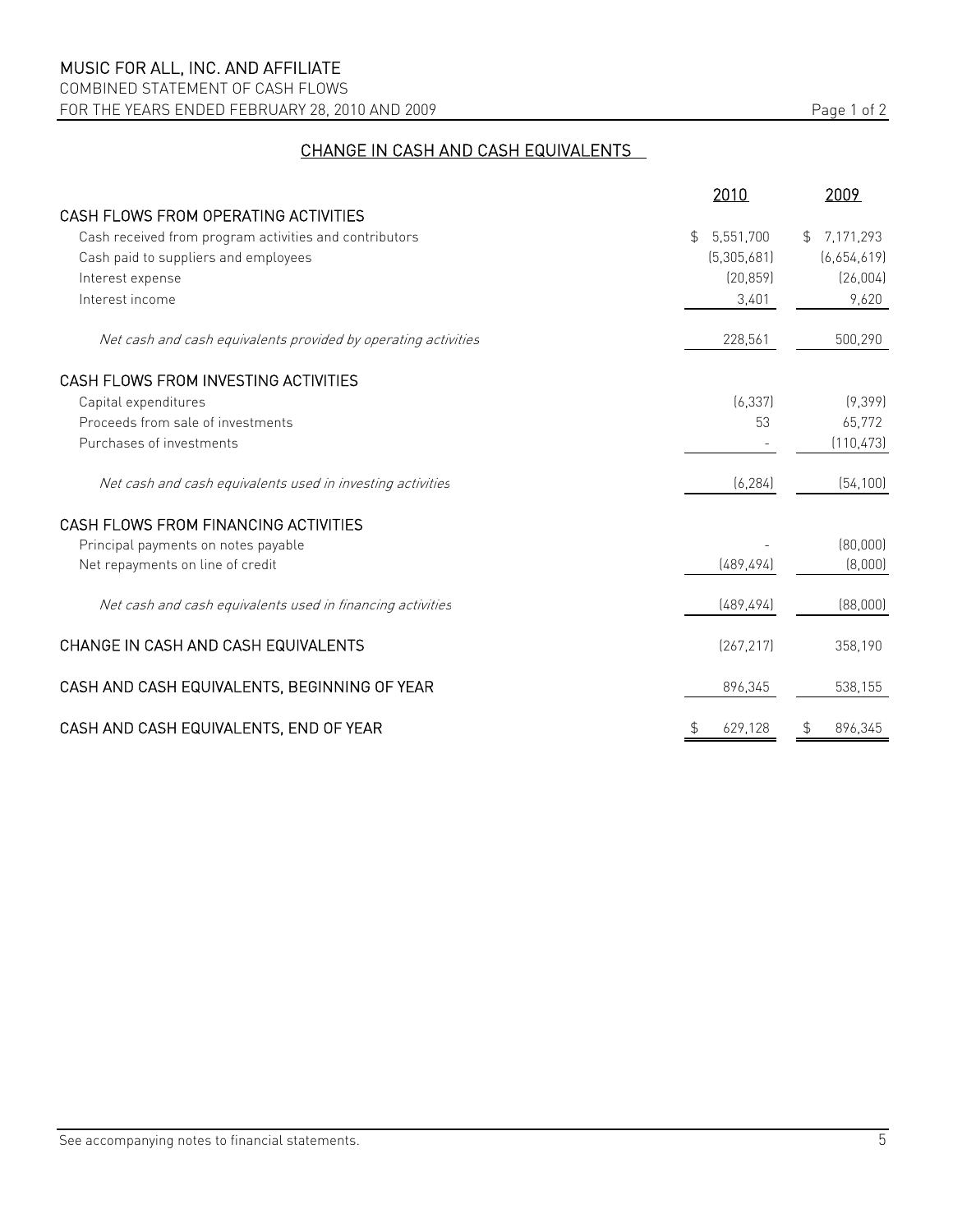COMBINED STATEMENT OF CASH FLOWS FOR THE YEARS ENDED FEBRUARY 28, 2010 AND 2009 Page 1 of 2

# CHANGE IN CASH AND CASH EQUIVALENTS

|                                                                | 2010                        | 2009                        |
|----------------------------------------------------------------|-----------------------------|-----------------------------|
| CASH FLOWS FROM OPERATING ACTIVITIES                           |                             |                             |
| Cash received from program activities and contributors         | 5,551,700<br>$\mathfrak{L}$ | 7,171,293<br>$\mathfrak{L}$ |
| Cash paid to suppliers and employees                           | (5,305,681)                 | [6,654,619]                 |
| Interest expense                                               | (20, 859)                   | (26,004)                    |
| Interest income                                                | 3,401                       | 9,620                       |
| Net cash and cash equivalents provided by operating activities | 228,561                     | 500,290                     |
| CASH FLOWS FROM INVESTING ACTIVITIES                           |                             |                             |
| Capital expenditures                                           | (6, 337)                    | (9,399)                     |
| Proceeds from sale of investments                              | 53                          | 65,772                      |
| Purchases of investments                                       |                             | (110, 473)                  |
| Net cash and cash equivalents used in investing activities     | (6, 284)                    | (54, 100)                   |
| CASH FLOWS FROM FINANCING ACTIVITIES                           |                             |                             |
| Principal payments on notes payable                            |                             | (80,000)                    |
| Net repayments on line of credit                               | [489, 494]                  | (8,000)                     |
| Net cash and cash equivalents used in financing activities     | [489, 494]                  | (88,000)                    |
| CHANGE IN CASH AND CASH EQUIVALENTS                            | (267, 217)                  | 358,190                     |
| CASH AND CASH EQUIVALENTS, BEGINNING OF YEAR                   | 896,345                     | 538,155                     |
| CASH AND CASH EQUIVALENTS, END OF YEAR                         | \$<br>629,128               | 896.345<br>\$               |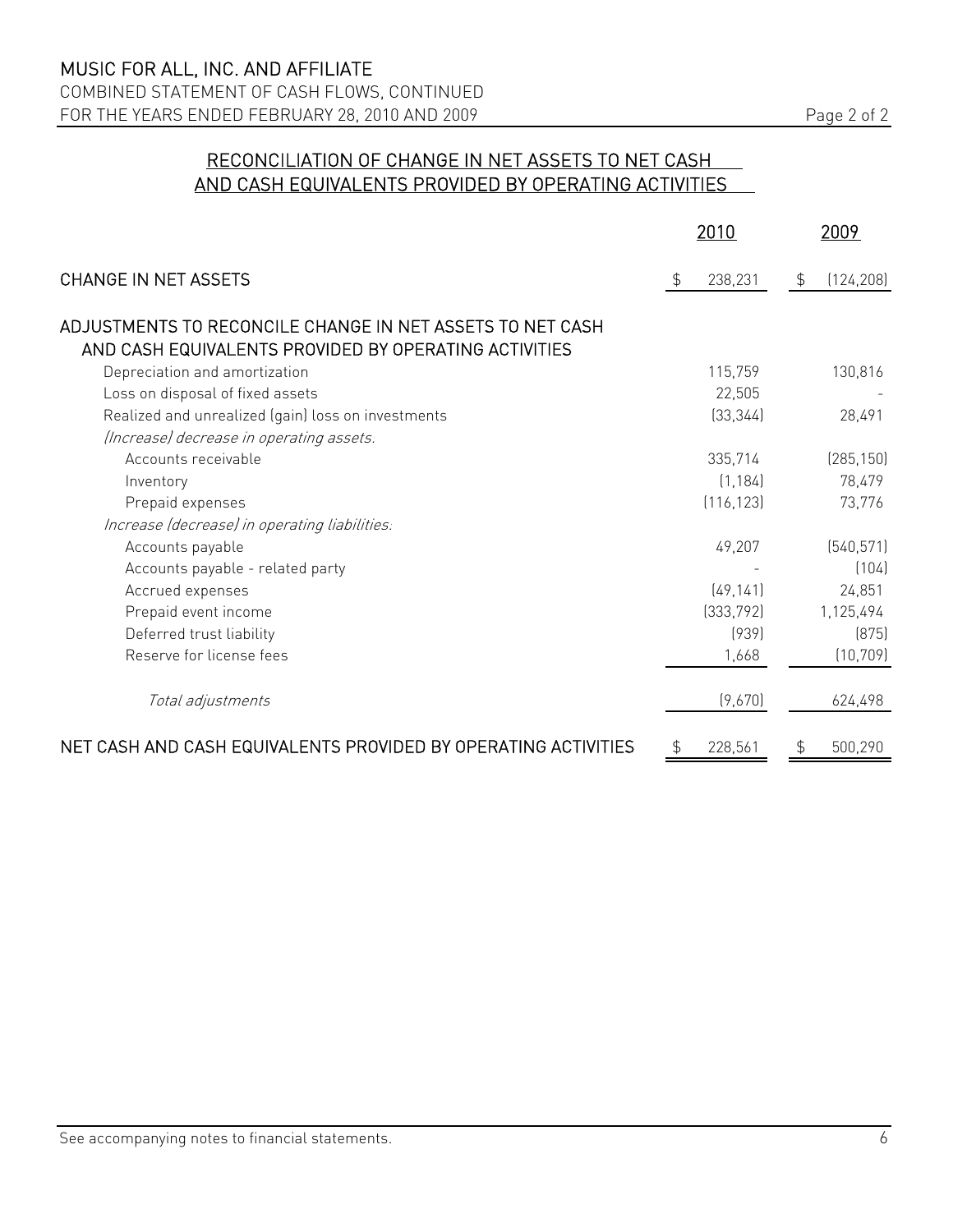# RECONCILIATION OF CHANGE IN NET ASSETS TO NET CASH AND CASH EQUIVALENTS PROVIDED BY OPERATING ACTIVITIES

|                                                                                                                    | 2010          |                | 2009       |
|--------------------------------------------------------------------------------------------------------------------|---------------|----------------|------------|
| <b>CHANGE IN NET ASSETS</b>                                                                                        | \$<br>238,231 | $\mathfrak{P}$ | (124, 208) |
| ADJUSTMENTS TO RECONCILE CHANGE IN NET ASSETS TO NET CASH<br>AND CASH EQUIVALENTS PROVIDED BY OPERATING ACTIVITIES |               |                |            |
| Depreciation and amortization                                                                                      | 115,759       |                | 130,816    |
| Loss on disposal of fixed assets                                                                                   | 22,505        |                |            |
| Realized and unrealized (gain) loss on investments                                                                 | (33, 344)     |                | 28,491     |
| (Increase) decrease in operating assets.                                                                           |               |                |            |
| Accounts receivable                                                                                                | 335,714       |                | (285, 150) |
| Inventory                                                                                                          | (1, 184)      |                | 78,479     |
| Prepaid expenses                                                                                                   | (116, 123)    |                | 73,776     |
| Increase (decrease) in operating liabilities.                                                                      |               |                |            |
| Accounts payable                                                                                                   | 49,207        |                | (540, 571) |
| Accounts payable - related party                                                                                   |               |                | (104)      |
| Accrued expenses                                                                                                   | (49, 141)     |                | 24,851     |
| Prepaid event income                                                                                               | [333, 792]    |                | 1,125,494  |
| Deferred trust liability                                                                                           | (939)         |                | (875)      |
| Reserve for license fees                                                                                           | 1,668         |                | (10, 709)  |
| Total adjustments                                                                                                  | (9,670)       |                | 624,498    |
| NET CASH AND CASH EQUIVALENTS PROVIDED BY OPERATING ACTIVITIES                                                     | 228,561       | £.             | 500,290    |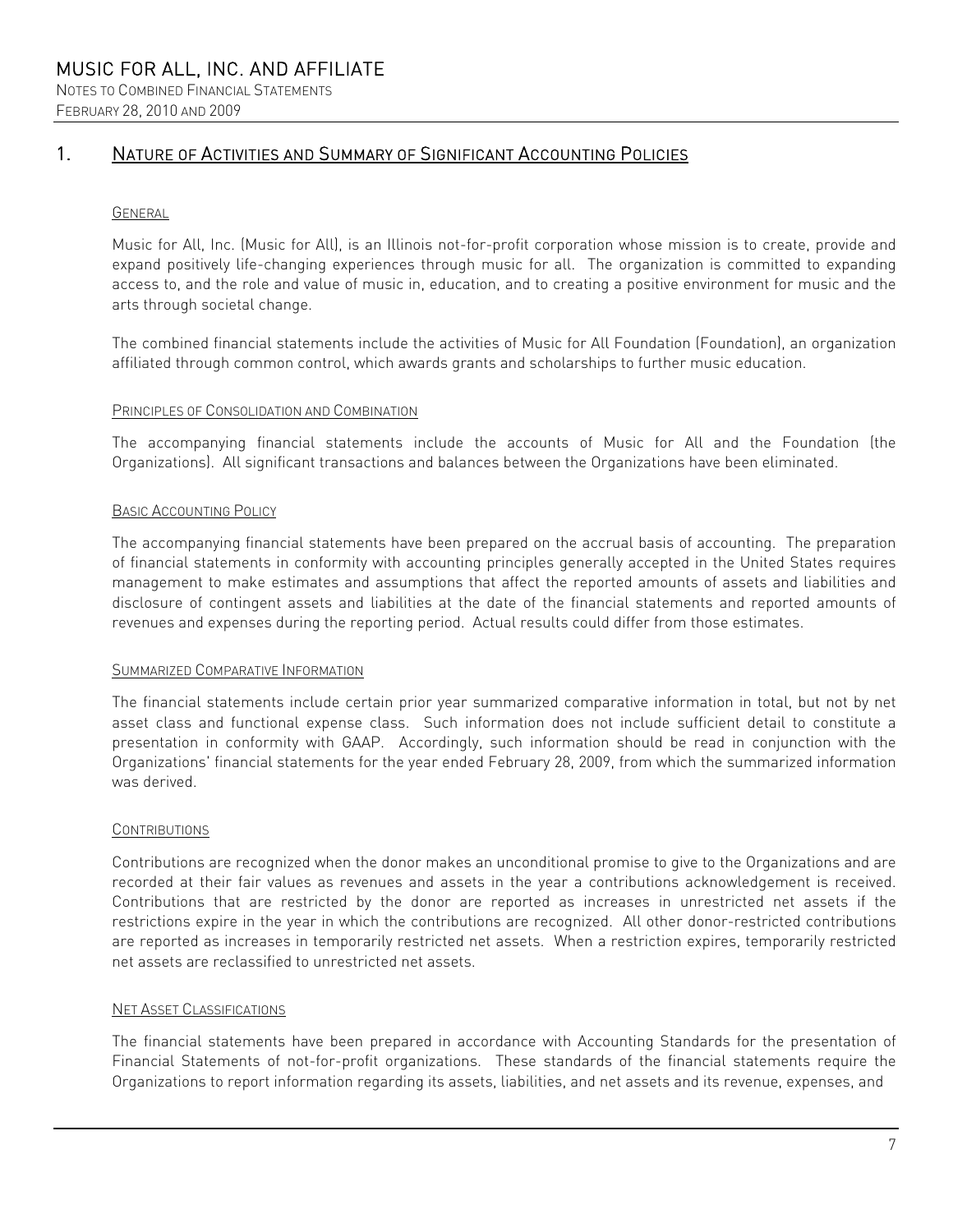#### FEBRUARY 28, 2010 AND 2009

# 1. NATURE OF ACTIVITIES AND SUMMARY OF SIGNIFICANT ACCOUNTING POLICIES

#### GENERAL

Music for All, Inc. (Music for All), is an Illinois not-for-profit corporation whose mission is to create, provide and expand positively life-changing experiences through music for all. The organization is committed to expanding access to, and the role and value of music in, education, and to creating a positive environment for music and the arts through societal change.

The combined financial statements include the activities of Music for All Foundation (Foundation), an organization affiliated through common control, which awards grants and scholarships to further music education.

#### PRINCIPLES OF CONSOLIDATION AND COMBINATION

The accompanying financial statements include the accounts of Music for All and the Foundation (the Organizations). All significant transactions and balances between the Organizations have been eliminated.

#### BASIC ACCOUNTING POLICY

The accompanying financial statements have been prepared on the accrual basis of accounting. The preparation of financial statements in conformity with accounting principles generally accepted in the United States requires management to make estimates and assumptions that affect the reported amounts of assets and liabilities and disclosure of contingent assets and liabilities at the date of the financial statements and reported amounts of revenues and expenses during the reporting period. Actual results could differ from those estimates.

#### SUMMARIZED COMPARATIVE INFORMATION

The financial statements include certain prior year summarized comparative information in total, but not by net asset class and functional expense class. Such information does not include sufficient detail to constitute a presentation in conformity with GAAP. Accordingly, such information should be read in conjunction with the Organizations' financial statements for the year ended February 28, 2009, from which the summarized information was derived.

#### **CONTRIBUTIONS**

Contributions are recognized when the donor makes an unconditional promise to give to the Organizations and are recorded at their fair values as revenues and assets in the year a contributions acknowledgement is received. Contributions that are restricted by the donor are reported as increases in unrestricted net assets if the restrictions expire in the year in which the contributions are recognized. All other donor-restricted contributions are reported as increases in temporarily restricted net assets. When a restriction expires, temporarily restricted net assets are reclassified to unrestricted net assets.

#### NET ASSET CLASSIFICATIONS

The financial statements have been prepared in accordance with Accounting Standards for the presentation of Financial Statements of not-for-profit organizations. These standards of the financial statements require the Organizations to report information regarding its assets, liabilities, and net assets and its revenue, expenses, and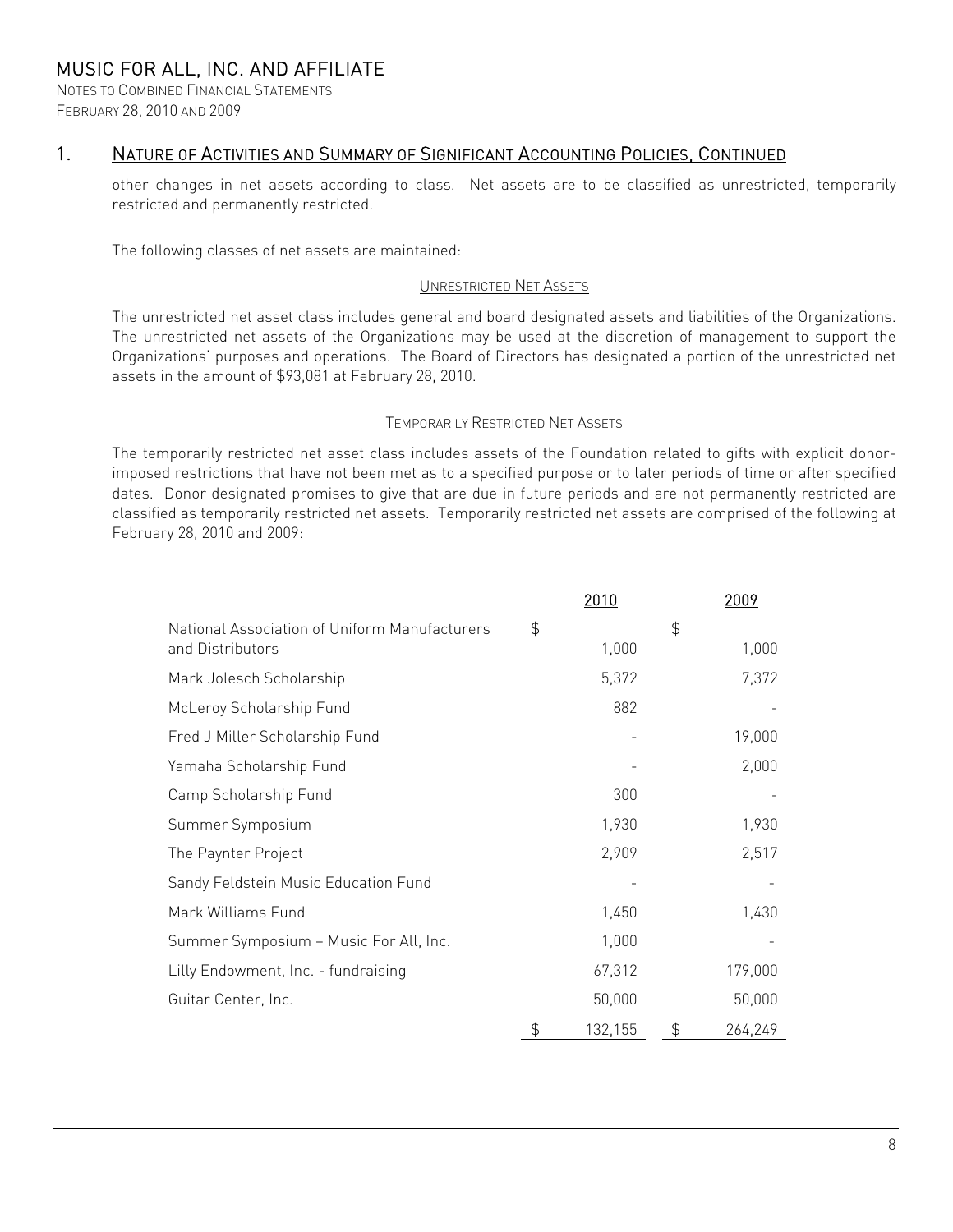### 1. NATURE OF ACTIVITIES AND SUMMARY OF SIGNIFICANT ACCOUNTING POLICIES, CONTINUED

other changes in net assets according to class. Net assets are to be classified as unrestricted, temporarily restricted and permanently restricted.

The following classes of net assets are maintained:

#### UNRESTRICTED NET ASSETS

The unrestricted net asset class includes general and board designated assets and liabilities of the Organizations. The unrestricted net assets of the Organizations may be used at the discretion of management to support the Organizations' purposes and operations. The Board of Directors has designated a portion of the unrestricted net assets in the amount of \$93,081 at February 28, 2010.

#### TEMPORARILY RESTRICTED NET ASSETS

The temporarily restricted net asset class includes assets of the Foundation related to gifts with explicit donorimposed restrictions that have not been met as to a specified purpose or to later periods of time or after specified dates. Donor designated promises to give that are due in future periods and are not permanently restricted are classified as temporarily restricted net assets. Temporarily restricted net assets are comprised of the following at February 28, 2010 and 2009:

|                                                                   | 2010          |               | 2009    |
|-------------------------------------------------------------------|---------------|---------------|---------|
| National Association of Uniform Manufacturers<br>and Distributors | \$<br>1,000   | $\frac{4}{5}$ | 1,000   |
| Mark Jolesch Scholarship                                          | 5,372         |               | 7,372   |
| McLeroy Scholarship Fund                                          | 882           |               |         |
| Fred J Miller Scholarship Fund                                    |               |               | 19,000  |
| Yamaha Scholarship Fund                                           |               |               | 2,000   |
| Camp Scholarship Fund                                             | 300           |               |         |
| Summer Symposium                                                  | 1,930         |               | 1,930   |
| The Paynter Project                                               | 2,909         |               | 2,517   |
| Sandy Feldstein Music Education Fund                              |               |               |         |
| Mark Williams Fund                                                | 1,450         |               | 1,430   |
| Summer Symposium - Music For All, Inc.                            | 1,000         |               |         |
| Lilly Endowment, Inc. - fundraising                               | 67,312        |               | 179,000 |
| Guitar Center, Inc.                                               | 50,000        |               | 50,000  |
|                                                                   | \$<br>132,155 | $\frac{4}{5}$ | 264,249 |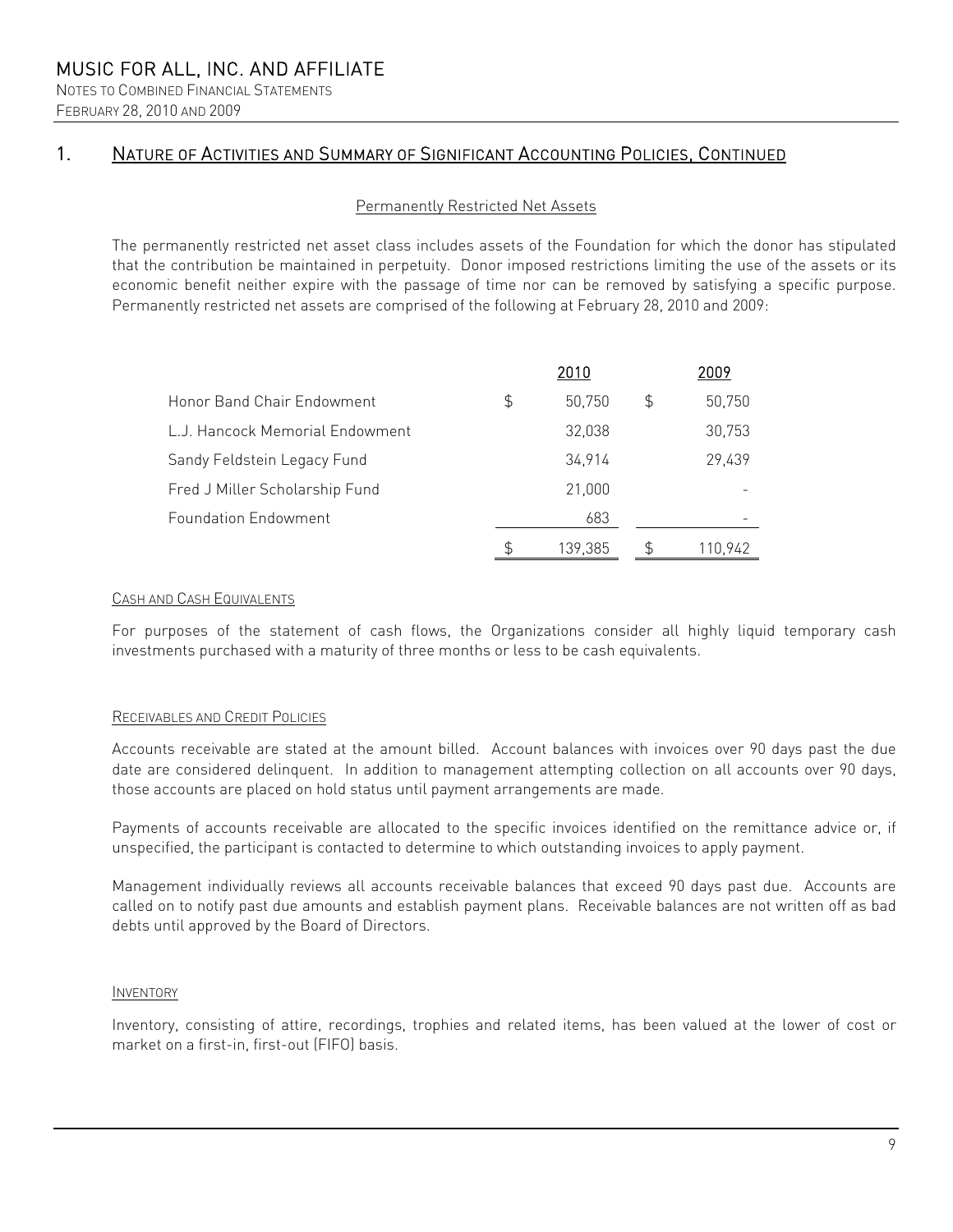NOTES TO COMBINED FINANCIAL STATEMENTS FEBRUARY 28, 2010 AND 2009

# 1. NATURE OF ACTIVITIES AND SUMMARY OF SIGNIFICANT ACCOUNTING POLICIES, CONTINUED

#### Permanently Restricted Net Assets

The permanently restricted net asset class includes assets of the Foundation for which the donor has stipulated that the contribution be maintained in perpetuity. Donor imposed restrictions limiting the use of the assets or its economic benefit neither expire with the passage of time nor can be removed by satisfying a specific purpose. Permanently restricted net assets are comprised of the following at February 28, 2010 and 2009:

|                                 |    | 2010    |    | 2009    |
|---------------------------------|----|---------|----|---------|
| Honor Band Chair Endowment      | \$ | 50.750  | \$ | 50,750  |
| L.J. Hancock Memorial Endowment |    | 32,038  |    | 30,753  |
| Sandy Feldstein Legacy Fund     |    | 34,914  |    | 29,439  |
| Fred J Miller Scholarship Fund  |    | 21,000  |    |         |
| <b>Foundation Endowment</b>     |    | 683     |    |         |
|                                 | S  | 139.385 | Ъ  | 110.942 |

#### CASH AND CASH EQUIVALENTS

For purposes of the statement of cash flows, the Organizations consider all highly liquid temporary cash investments purchased with a maturity of three months or less to be cash equivalents.

#### RECEIVABLES AND CREDIT POLICIES

Accounts receivable are stated at the amount billed. Account balances with invoices over 90 days past the due date are considered delinquent. In addition to management attempting collection on all accounts over 90 days, those accounts are placed on hold status until payment arrangements are made.

Payments of accounts receivable are allocated to the specific invoices identified on the remittance advice or, if unspecified, the participant is contacted to determine to which outstanding invoices to apply payment.

Management individually reviews all accounts receivable balances that exceed 90 days past due. Accounts are called on to notify past due amounts and establish payment plans. Receivable balances are not written off as bad debts until approved by the Board of Directors.

#### INVENTORY

Inventory, consisting of attire, recordings, trophies and related items, has been valued at the lower of cost or market on a first-in, first-out (FIFO) basis.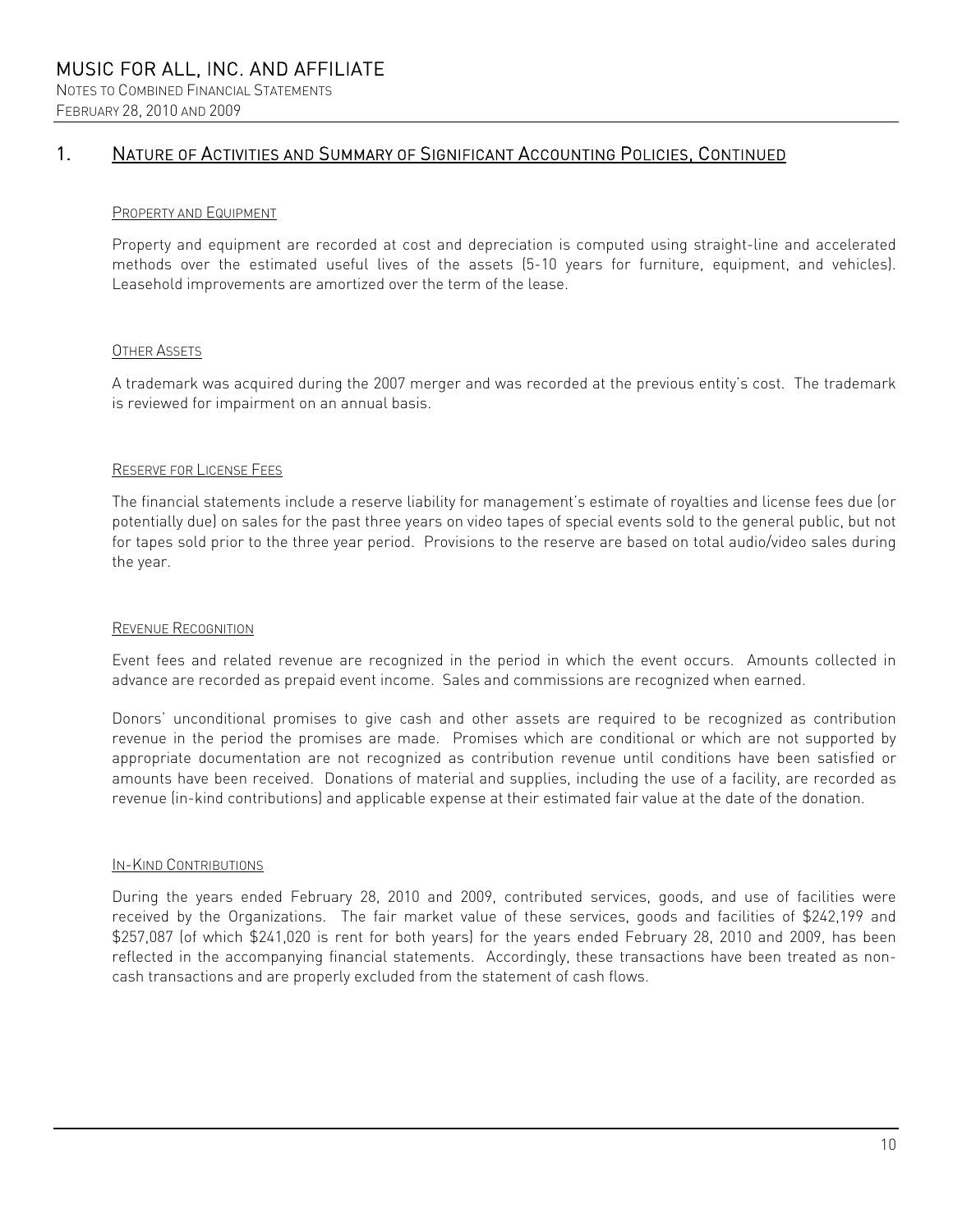### FEBRUARY 28, 2010 AND 2009

# 1. NATURE OF ACTIVITIES AND SUMMARY OF SIGNIFICANT ACCOUNTING POLICIES, CONTINUED

### PROPERTY AND EQUIPMENT

Property and equipment are recorded at cost and depreciation is computed using straight-line and accelerated methods over the estimated useful lives of the assets (5-10 years for furniture, equipment, and vehicles). Leasehold improvements are amortized over the term of the lease.

### **OTHER ASSETS**

A trademark was acquired during the 2007 merger and was recorded at the previous entity's cost. The trademark is reviewed for impairment on an annual basis.

### RESERVE FOR LICENSE FEES

The financial statements include a reserve liability for management's estimate of royalties and license fees due (or potentially due) on sales for the past three years on video tapes of special events sold to the general public, but not for tapes sold prior to the three year period. Provisions to the reserve are based on total audio/video sales during the year.

### REVENUE RECOGNITION

Event fees and related revenue are recognized in the period in which the event occurs. Amounts collected in advance are recorded as prepaid event income. Sales and commissions are recognized when earned.

Donors' unconditional promises to give cash and other assets are required to be recognized as contribution revenue in the period the promises are made. Promises which are conditional or which are not supported by appropriate documentation are not recognized as contribution revenue until conditions have been satisfied or amounts have been received. Donations of material and supplies, including the use of a facility, are recorded as revenue (in-kind contributions) and applicable expense at their estimated fair value at the date of the donation.

### IN-KIND CONTRIBUTIONS

During the years ended February 28, 2010 and 2009, contributed services, goods, and use of facilities were received by the Organizations. The fair market value of these services, goods and facilities of \$242,199 and \$257,087 (of which \$241,020 is rent for both years) for the years ended February 28, 2010 and 2009, has been reflected in the accompanying financial statements. Accordingly, these transactions have been treated as noncash transactions and are properly excluded from the statement of cash flows.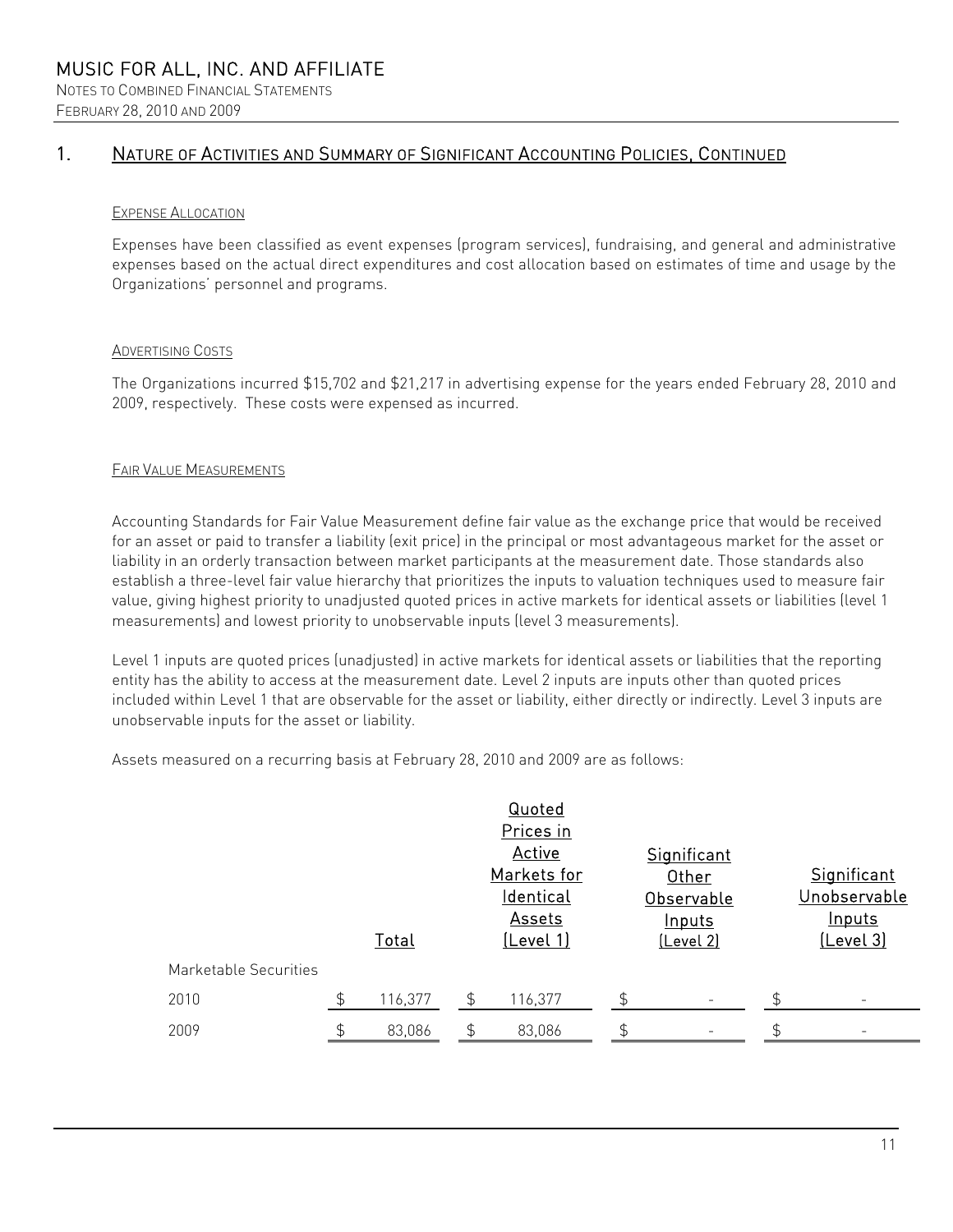# 1. NATURE OF ACTIVITIES AND SUMMARY OF SIGNIFICANT ACCOUNTING POLICIES, CONTINUED

#### EXPENSE ALLOCATION

Expenses have been classified as event expenses (program services), fundraising, and general and administrative expenses based on the actual direct expenditures and cost allocation based on estimates of time and usage by the Organizations' personnel and programs.

#### ADVERTISING COSTS

The Organizations incurred \$15,702 and \$21,217 in advertising expense for the years ended February 28, 2010 and 2009, respectively. These costs were expensed as incurred.

#### FAIR VALUE MEASUREMENTS

Accounting Standards for Fair Value Measurement define fair value as the exchange price that would be received for an asset or paid to transfer a liability (exit price) in the principal or most advantageous market for the asset or liability in an orderly transaction between market participants at the measurement date. Those standards also establish a three-level fair value hierarchy that prioritizes the inputs to valuation techniques used to measure fair value, giving highest priority to unadjusted quoted prices in active markets for identical assets or liabilities (level 1 measurements) and lowest priority to unobservable inputs (level 3 measurements).

Level 1 inputs are quoted prices (unadjusted) in active markets for identical assets or liabilities that the reporting entity has the ability to access at the measurement date. Level 2 inputs are inputs other than quoted prices included within Level 1 that are observable for the asset or liability, either directly or indirectly. Level 3 inputs are unobservable inputs for the asset or liability.

Assets measured on a recurring basis at February 28, 2010 and 2009 are as follows:

|                       |               | Total   |                | Quoted<br>Prices in<br>Active<br>Markets for<br><u>Identical</u><br>Assets<br>(Level 1) |                | <b>Significant</b><br>Other<br>Observable<br><b>Inputs</b><br>(Level 2) | Significant<br>Unobservable<br><b>Inputs</b><br><u>(Level 3)</u> |
|-----------------------|---------------|---------|----------------|-----------------------------------------------------------------------------------------|----------------|-------------------------------------------------------------------------|------------------------------------------------------------------|
| Marketable Securities |               |         |                |                                                                                         |                |                                                                         |                                                                  |
| 2010                  | $\mathcal{L}$ | 116,377 | $\mathfrak{F}$ | 116,377                                                                                 | $\mathfrak{L}$ |                                                                         |                                                                  |
| 2009                  |               | 83,086  |                | 83,086                                                                                  |                |                                                                         |                                                                  |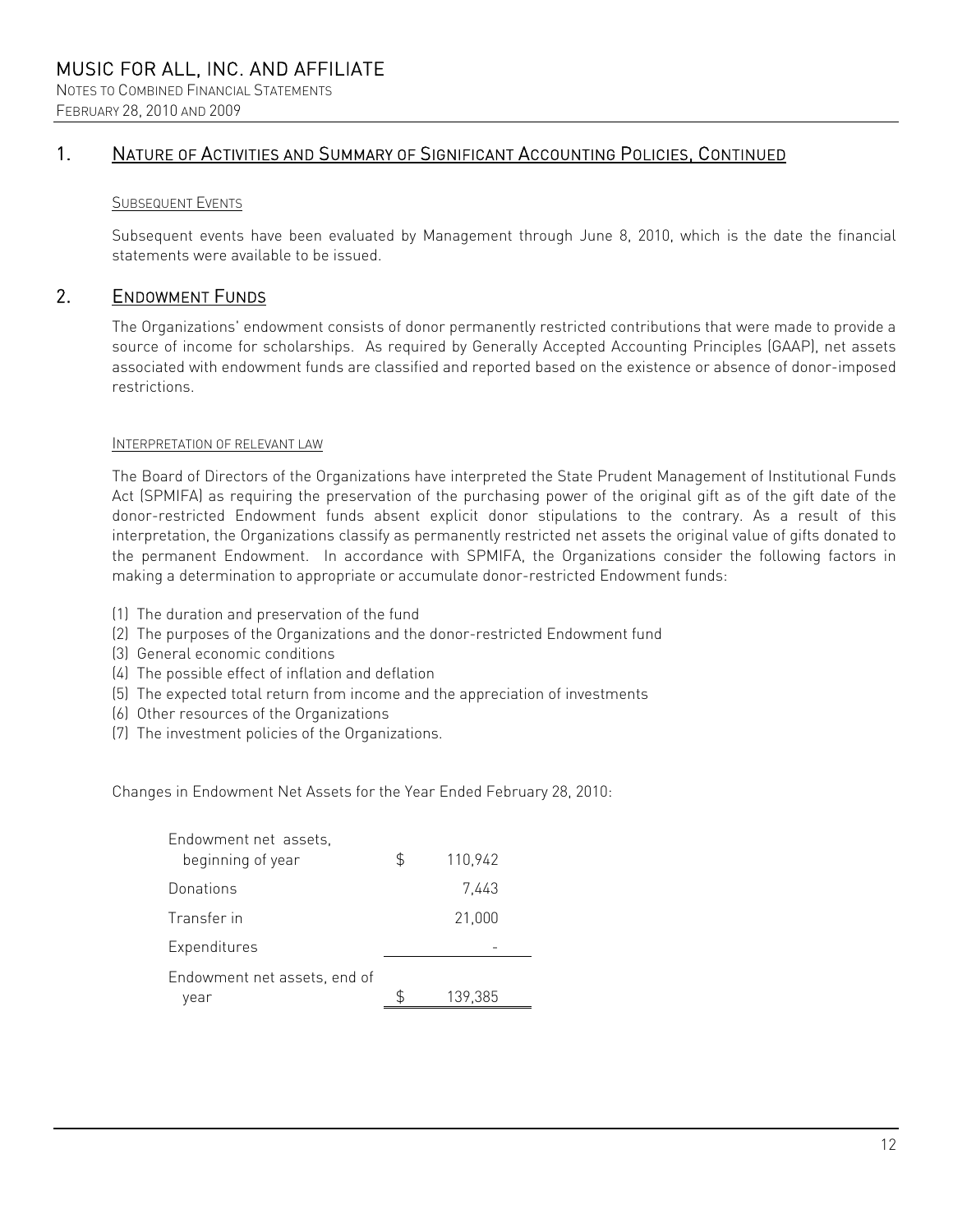# 1. NATURE OF ACTIVITIES AND SUMMARY OF SIGNIFICANT ACCOUNTING POLICIES, CONTINUED

#### SUBSEQUENT EVENTS

Subsequent events have been evaluated by Management through June 8, 2010, which is the date the financial statements were available to be issued.

### 2. ENDOWMENT FUNDS

The Organizations' endowment consists of donor permanently restricted contributions that were made to provide a source of income for scholarships. As required by Generally Accepted Accounting Principles (GAAP), net assets associated with endowment funds are classified and reported based on the existence or absence of donor-imposed restrictions.

#### INTERPRETATION OF RELEVANT LAW

The Board of Directors of the Organizations have interpreted the State Prudent Management of Institutional Funds Act (SPMIFA) as requiring the preservation of the purchasing power of the original gift as of the gift date of the donor-restricted Endowment funds absent explicit donor stipulations to the contrary. As a result of this interpretation, the Organizations classify as permanently restricted net assets the original value of gifts donated to the permanent Endowment. In accordance with SPMIFA, the Organizations consider the following factors in making a determination to appropriate or accumulate donor-restricted Endowment funds:

- (1) The duration and preservation of the fund
- (2) The purposes of the Organizations and the donor-restricted Endowment fund
- (3) General economic conditions
- (4) The possible effect of inflation and deflation
- (5) The expected total return from income and the appreciation of investments
- (6) Other resources of the Organizations
- (7) The investment policies of the Organizations.

Changes in Endowment Net Assets for the Year Ended February 28, 2010:

| \$<br>110,942 |
|---------------|
| 7.443         |
| 21,000        |
|               |
| 139,385       |
|               |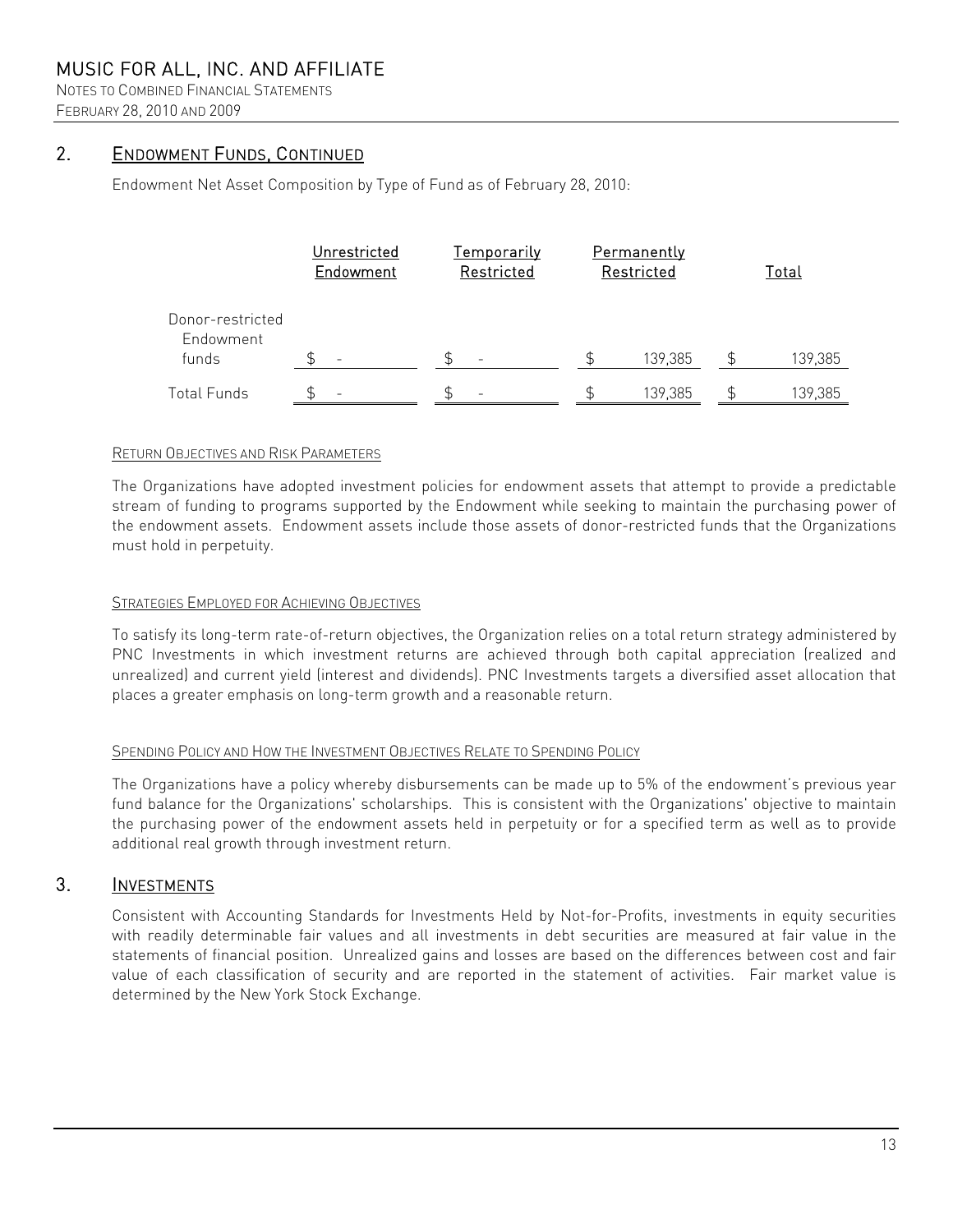NOTES TO COMBINED FINANCIAL STATEMENTS FEBRUARY 28, 2010 AND 2009

# 2. ENDOWMENT FUNDS, CONTINUED

Endowment Net Asset Composition by Type of Fund as of February 28, 2010:

|                                        | Unrestricted<br>Endowment | <u>Temporarily</u><br>Restricted | <b>Permanently</b><br>Restricted | <u>Total</u> |
|----------------------------------------|---------------------------|----------------------------------|----------------------------------|--------------|
| Donor-restricted<br>Endowment<br>funds | -                         |                                  | 139,385                          | 139,385      |
| <b>Total Funds</b>                     | $\equiv$                  |                                  | 139,385                          | 139,385      |

#### RETURN OBJECTIVES AND RISK PARAMETERS

The Organizations have adopted investment policies for endowment assets that attempt to provide a predictable stream of funding to programs supported by the Endowment while seeking to maintain the purchasing power of the endowment assets. Endowment assets include those assets of donor-restricted funds that the Organizations must hold in perpetuity.

#### STRATEGIES EMPLOYED FOR ACHIEVING OBJECTIVES

To satisfy its long-term rate-of-return objectives, the Organization relies on a total return strategy administered by PNC Investments in which investment returns are achieved through both capital appreciation (realized and unrealized) and current yield (interest and dividends). PNC Investments targets a diversified asset allocation that places a greater emphasis on long-term growth and a reasonable return.

#### SPENDING POLICY AND HOW THE INVESTMENT OBJECTIVES RELATE TO SPENDING POLICY

The Organizations have a policy whereby disbursements can be made up to 5% of the endowment's previous year fund balance for the Organizations' scholarships. This is consistent with the Organizations' objective to maintain the purchasing power of the endowment assets held in perpetuity or for a specified term as well as to provide additional real growth through investment return.

### 3. INVESTMENTS

Consistent with Accounting Standards for Investments Held by Not-for-Profits, investments in equity securities with readily determinable fair values and all investments in debt securities are measured at fair value in the statements of financial position. Unrealized gains and losses are based on the differences between cost and fair value of each classification of security and are reported in the statement of activities. Fair market value is determined by the New York Stock Exchange.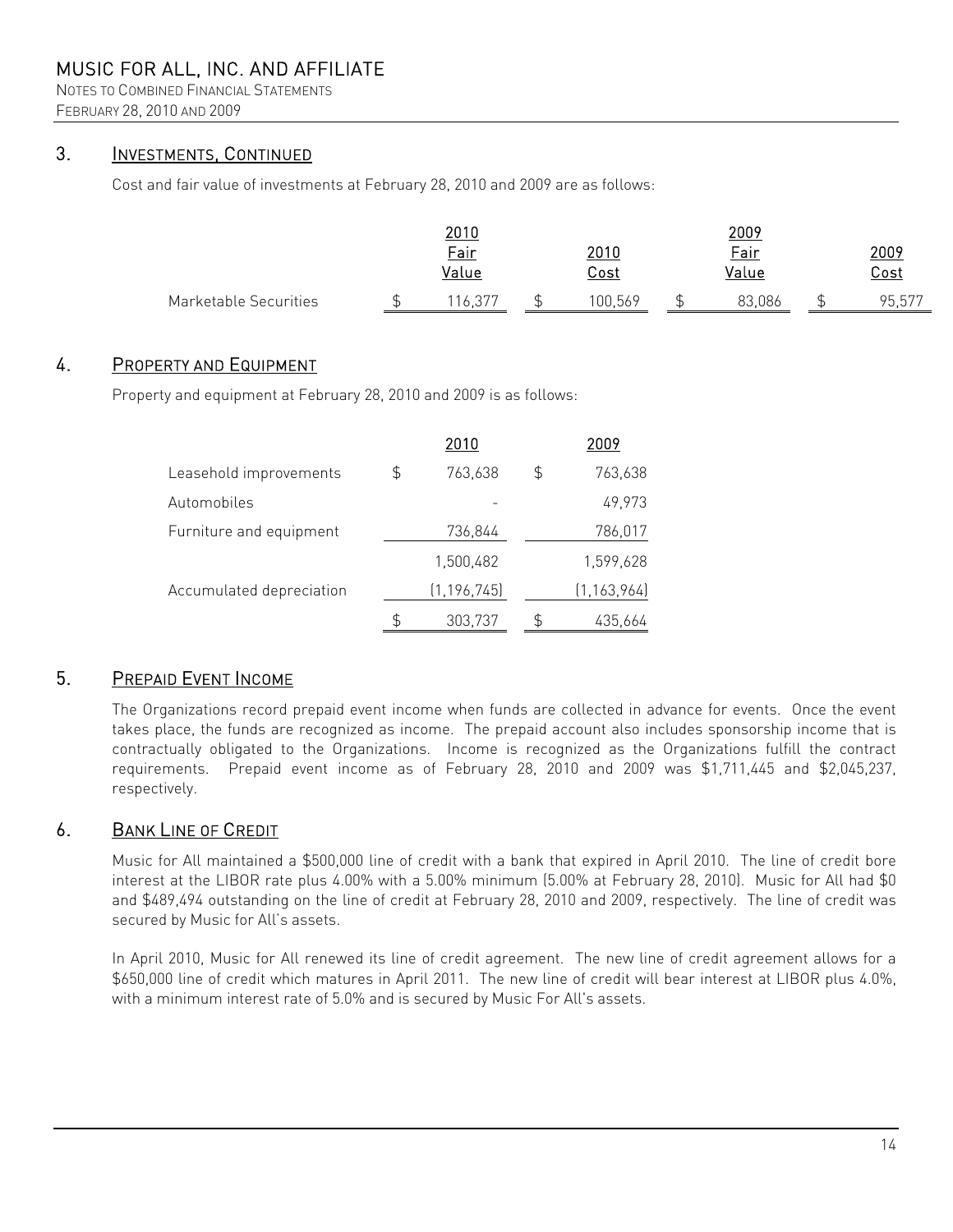NOTES TO COMBINED FINANCIAL STATEMENTS FEBRUARY 28, 2010 AND 2009

# 3. INVESTMENTS, CONTINUED

Cost and fair value of investments at February 28, 2010 and 2009 are as follows:

|                       | <u> 2010</u> |             | <u> 2009</u> |             |
|-----------------------|--------------|-------------|--------------|-------------|
|                       | Fair         | <u>2010</u> | <b>Fair</b>  | 2009        |
|                       | Value        | <u>Cost</u> | Value        | <u>Cost</u> |
| Marketable Securities |              | 100.569     | 3.086        | 95,577      |

# 4. PROPERTY AND EQUIPMENT

Property and equipment at February 28, 2010 and 2009 is as follows:

|                          |    | 2010          |    | 2009          |
|--------------------------|----|---------------|----|---------------|
| Leasehold improvements   | \$ | 763,638       | \$ | 763,638       |
| Automobiles              |    |               |    | 49,973        |
| Furniture and equipment  |    | 736,844       |    | 786,017       |
|                          |    | 1,500,482     |    | 1,599,628     |
| Accumulated depreciation |    | (1, 196, 745) |    | (1, 163, 964) |
|                          | S  | 303,737       | £. | 435,664       |

### 5. PREPAID EVENT INCOME

The Organizations record prepaid event income when funds are collected in advance for events. Once the event takes place, the funds are recognized as income. The prepaid account also includes sponsorship income that is contractually obligated to the Organizations. Income is recognized as the Organizations fulfill the contract requirements. Prepaid event income as of February 28, 2010 and 2009 was \$1,711,445 and \$2,045,237, respectively.

### 6. BANK LINE OF CREDIT

Music for All maintained a \$500,000 line of credit with a bank that expired in April 2010. The line of credit bore interest at the LIBOR rate plus 4.00% with a 5.00% minimum (5.00% at February 28, 2010). Music for All had \$0 and \$489,494 outstanding on the line of credit at February 28, 2010 and 2009, respectively. The line of credit was secured by Music for All's assets.

In April 2010, Music for All renewed its line of credit agreement. The new line of credit agreement allows for a \$650,000 line of credit which matures in April 2011. The new line of credit will bear interest at LIBOR plus 4.0%, with a minimum interest rate of 5.0% and is secured by Music For All's assets.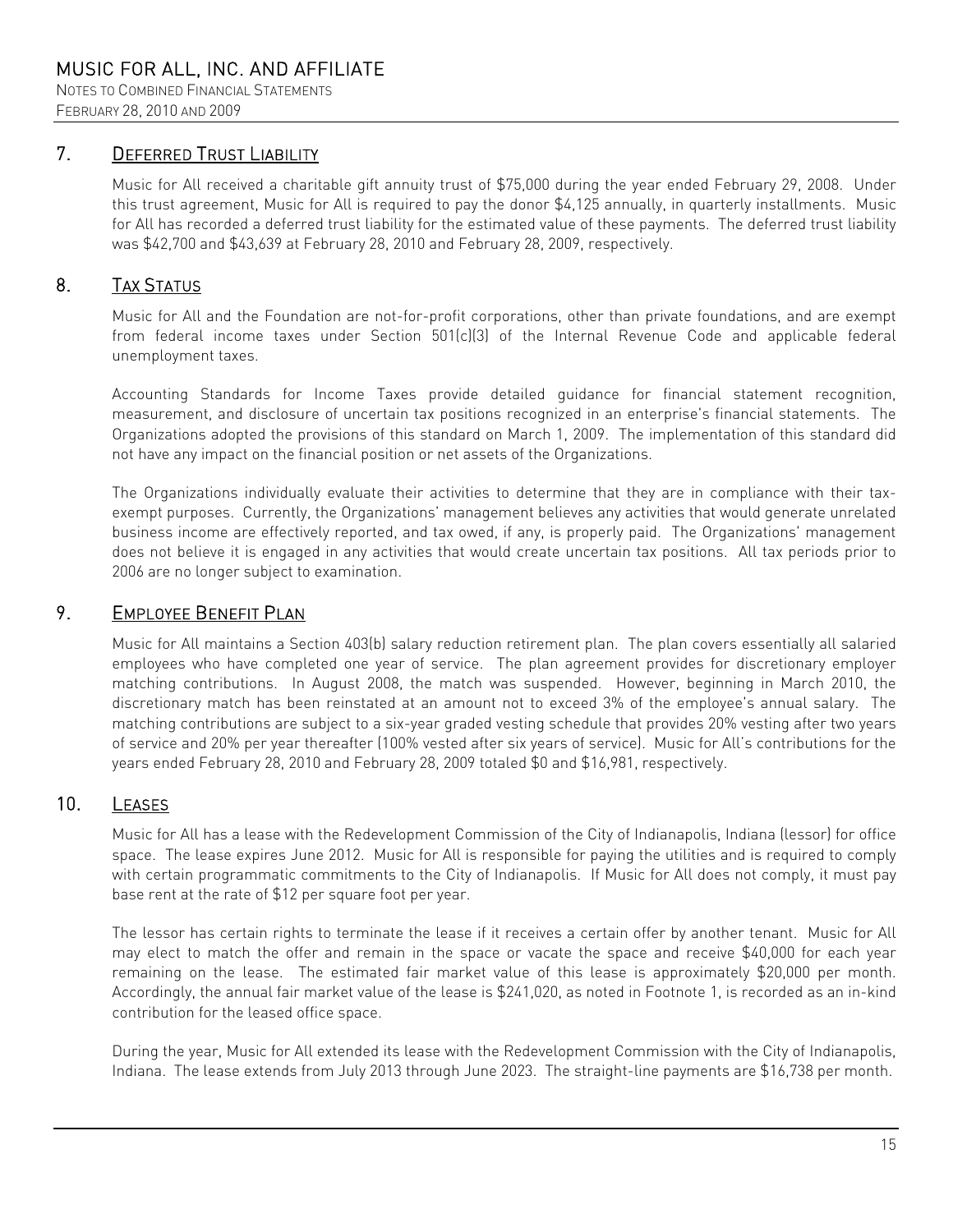NOTES TO COMBINED FINANCIAL STATEMENTS FEBRUARY 28, 2010 AND 2009

# 7. DEFERRED TRUST LIABILITY

Music for All received a charitable gift annuity trust of \$75,000 during the year ended February 29, 2008. Under this trust agreement, Music for All is required to pay the donor \$4,125 annually, in quarterly installments. Music for All has recorded a deferred trust liability for the estimated value of these payments. The deferred trust liability was \$42,700 and \$43,639 at February 28, 2010 and February 28, 2009, respectively.

# 8. TAX STATUS

Music for All and the Foundation are not-for-profit corporations, other than private foundations, and are exempt from federal income taxes under Section 501(c)(3) of the Internal Revenue Code and applicable federal unemployment taxes.

Accounting Standards for Income Taxes provide detailed guidance for financial statement recognition, measurement, and disclosure of uncertain tax positions recognized in an enterprise's financial statements. The Organizations adopted the provisions of this standard on March 1, 2009. The implementation of this standard did not have any impact on the financial position or net assets of the Organizations.

The Organizations individually evaluate their activities to determine that they are in compliance with their taxexempt purposes. Currently, the Organizations' management believes any activities that would generate unrelated business income are effectively reported, and tax owed, if any, is properly paid. The Organizations' management does not believe it is engaged in any activities that would create uncertain tax positions. All tax periods prior to 2006 are no longer subject to examination.

# 9. EMPLOYEE BENEFIT PLAN

Music for All maintains a Section 403(b) salary reduction retirement plan. The plan covers essentially all salaried employees who have completed one year of service. The plan agreement provides for discretionary employer matching contributions. In August 2008, the match was suspended. However, beginning in March 2010, the discretionary match has been reinstated at an amount not to exceed 3% of the employee's annual salary. The matching contributions are subject to a six-year graded vesting schedule that provides 20% vesting after two years of service and 20% per year thereafter (100% vested after six years of service). Music for All's contributions for the years ended February 28, 2010 and February 28, 2009 totaled \$0 and \$16,981, respectively.

# 10. LEASES

Music for All has a lease with the Redevelopment Commission of the City of Indianapolis, Indiana (lessor) for office space. The lease expires June 2012. Music for All is responsible for paying the utilities and is required to comply with certain programmatic commitments to the City of Indianapolis. If Music for All does not comply, it must pay base rent at the rate of \$12 per square foot per year.

The lessor has certain rights to terminate the lease if it receives a certain offer by another tenant. Music for All may elect to match the offer and remain in the space or vacate the space and receive \$40,000 for each year remaining on the lease. The estimated fair market value of this lease is approximately \$20,000 per month. Accordingly, the annual fair market value of the lease is \$241,020, as noted in Footnote 1, is recorded as an in-kind contribution for the leased office space.

During the year, Music for All extended its lease with the Redevelopment Commission with the City of Indianapolis, Indiana. The lease extends from July 2013 through June 2023. The straight-line payments are \$16,738 per month.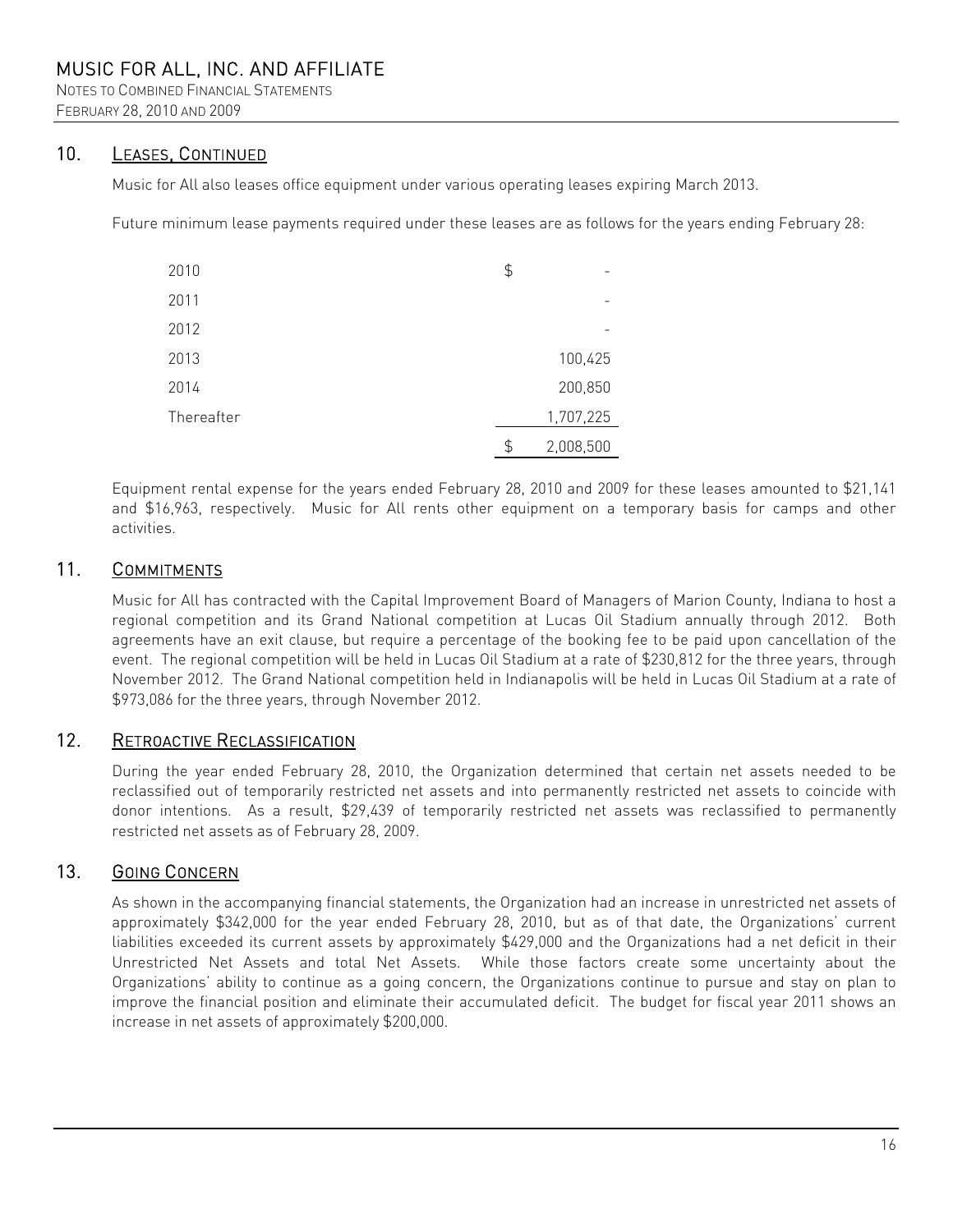NOTES TO COMBINED FINANCIAL STATEMENTS FEBRUARY 28, 2010 AND 2009

### 10. LEASES, CONTINUED

Music for All also leases office equipment under various operating leases expiring March 2013.

Future minimum lease payments required under these leases are as follows for the years ending February 28:

| 2010       | \$              |
|------------|-----------------|
| 2011       |                 |
| 2012       |                 |
| 2013       | 100,425         |
| 2014       | 200,850         |
| Thereafter | 1,707,225       |
|            | \$<br>2,008,500 |

Equipment rental expense for the years ended February 28, 2010 and 2009 for these leases amounted to \$21,141 and \$16,963, respectively. Music for All rents other equipment on a temporary basis for camps and other activities.

# 11. COMMITMENTS

Music for All has contracted with the Capital Improvement Board of Managers of Marion County, Indiana to host a regional competition and its Grand National competition at Lucas Oil Stadium annually through 2012. Both agreements have an exit clause, but require a percentage of the booking fee to be paid upon cancellation of the event. The regional competition will be held in Lucas Oil Stadium at a rate of \$230,812 for the three years, through November 2012. The Grand National competition held in Indianapolis will be held in Lucas Oil Stadium at a rate of \$973,086 for the three years, through November 2012.

# 12. RETROACTIVE RECLASSIFICATION

During the year ended February 28, 2010, the Organization determined that certain net assets needed to be reclassified out of temporarily restricted net assets and into permanently restricted net assets to coincide with donor intentions. As a result, \$29,439 of temporarily restricted net assets was reclassified to permanently restricted net assets as of February 28, 2009.

# 13. GOING CONCERN

As shown in the accompanying financial statements, the Organization had an increase in unrestricted net assets of approximately \$342,000 for the year ended February 28, 2010, but as of that date, the Organizations' current liabilities exceeded its current assets by approximately \$429,000 and the Organizations had a net deficit in their Unrestricted Net Assets and total Net Assets. While those factors create some uncertainty about the Organizations' ability to continue as a going concern, the Organizations continue to pursue and stay on plan to improve the financial position and eliminate their accumulated deficit. The budget for fiscal year 2011 shows an increase in net assets of approximately \$200,000.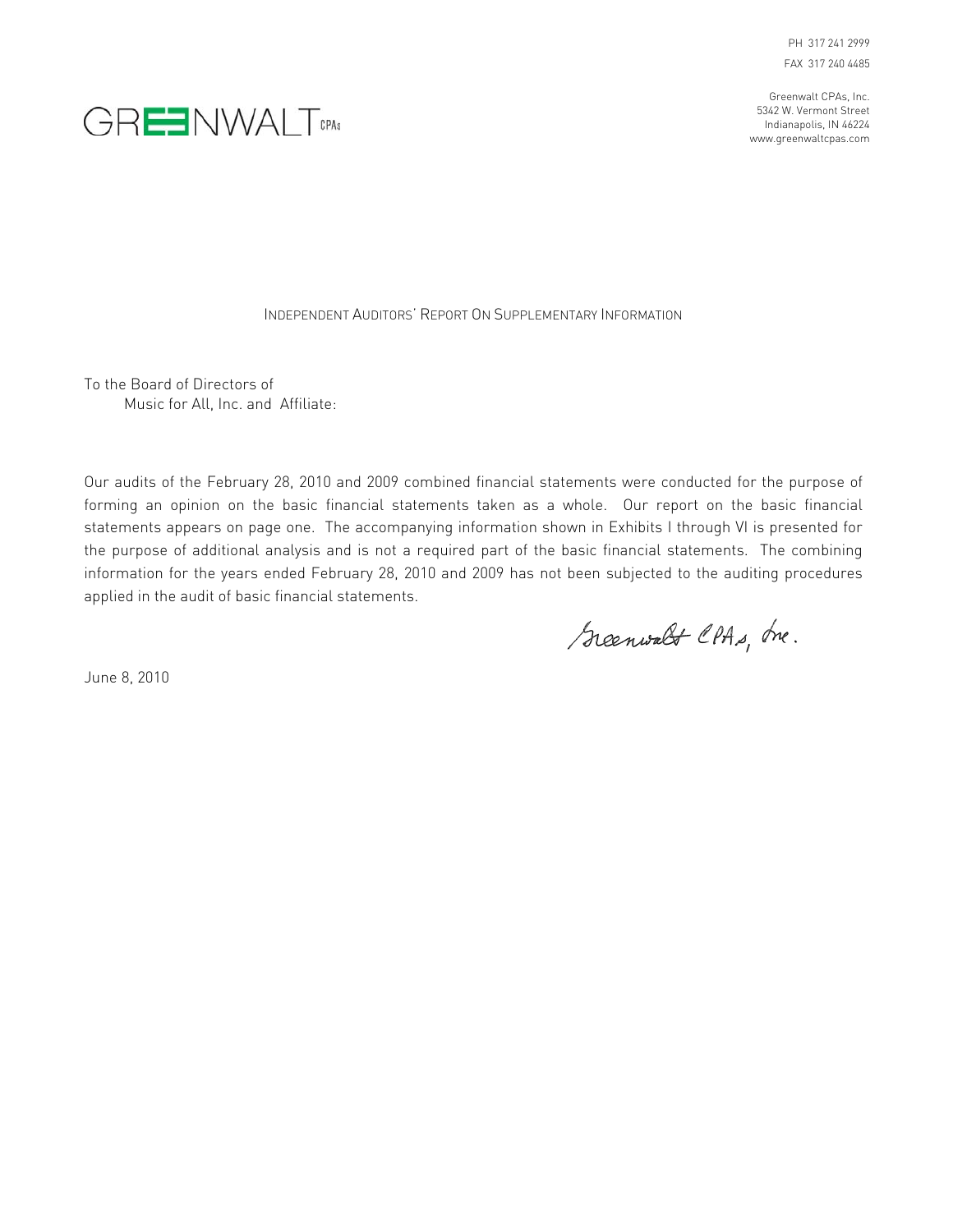PH 317 241 2999 FAX 317 240 4485

Greenwalt CPAs, Inc. 5342 W. Vermont Street Indianapolis, IN 46224 www.greenwaltcpas.com



INDEPENDENT AUDITORS' REPORT ON SUPPLEMENTARY INFORMATION

To the Board of Directors of Music for All, Inc. and Affiliate:

Our audits of the February 28, 2010 and 2009 combined financial statements were conducted for the purpose of forming an opinion on the basic financial statements taken as a whole. Our report on the basic financial statements appears on page one. The accompanying information shown in Exhibits I through VI is presented for the purpose of additional analysis and is not a required part of the basic financial statements. The combining information for the years ended February 28, 2010 and 2009 has not been subjected to the auditing procedures applied in the audit of basic financial statements.

Greenwalt CPAs, Inc.

June 8, 2010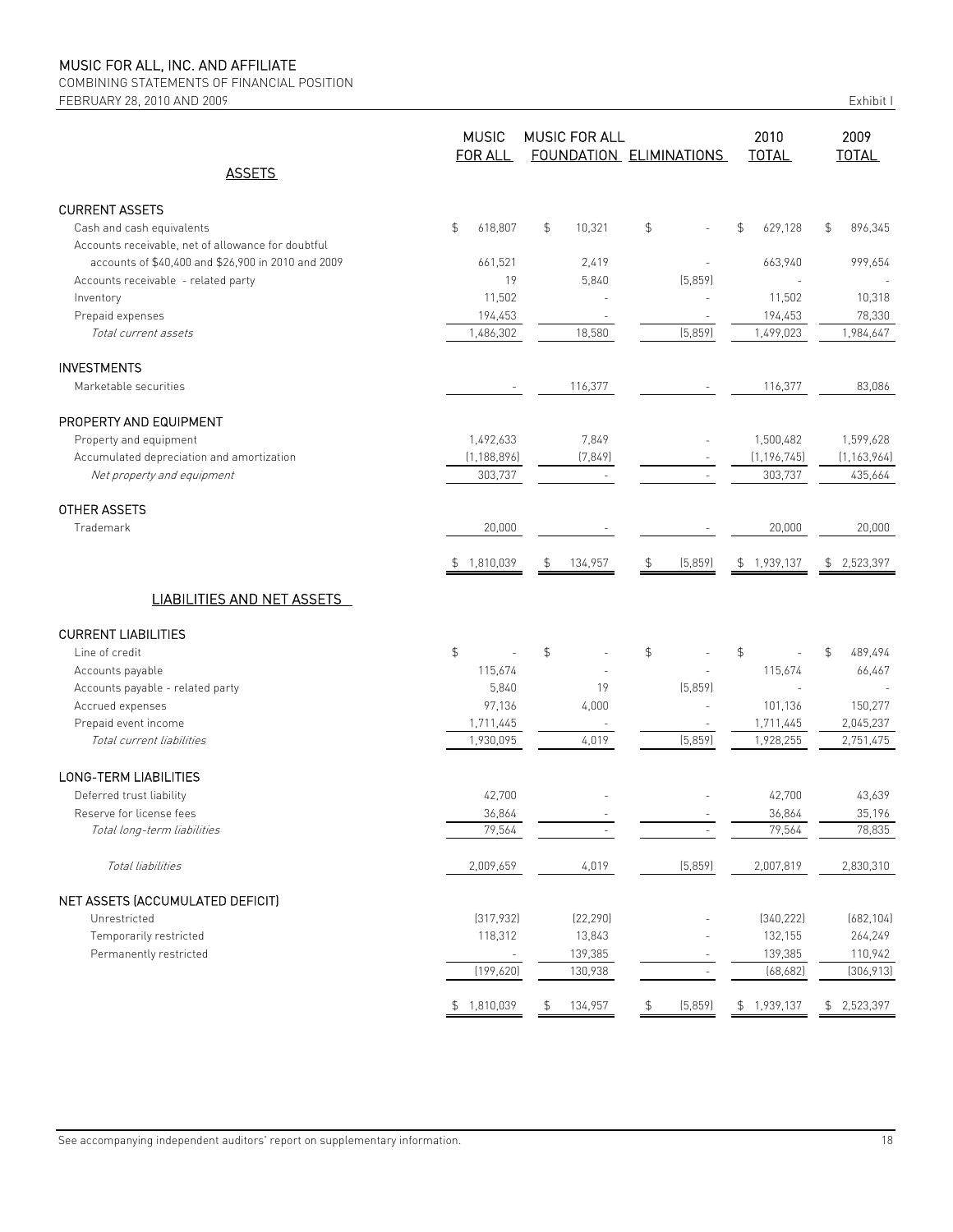COMBINING STATEMENTS OF FINANCIAL POSITION FEBRUARY 28, 2010 AND 2009

| Exhibit I |  |  |
|-----------|--|--|
|           |  |  |

|                                                    | <b>MUSIC</b><br>FOR ALL |               | <b>MUSIC FOR ALL</b><br>FOUNDATION ELIMINATIONS |                | 2010<br><b>TOTAL</b>     | 2009<br><b>TOTAL</b> |                           |
|----------------------------------------------------|-------------------------|---------------|-------------------------------------------------|----------------|--------------------------|----------------------|---------------------------|
| <b>ASSETS</b>                                      |                         |               |                                                 |                |                          |                      |                           |
| <b>CURRENT ASSETS</b>                              |                         |               |                                                 |                |                          |                      |                           |
| Cash and cash equivalents                          | \$<br>618,807           | \$            | 10,321                                          | \$             |                          | 629,128<br>\$        | $\mathfrak{P}$<br>896,345 |
| Accounts receivable, net of allowance for doubtful |                         |               |                                                 |                |                          |                      |                           |
| accounts of \$40,400 and \$26,900 in 2010 and 2009 | 661,521                 |               | 2,419                                           |                |                          | 663,940              | 999,654                   |
| Accounts receivable - related party                | 19                      |               | 5,840                                           |                | (5,859)                  |                      |                           |
| Inventory                                          | 11,502                  |               |                                                 |                |                          | 11,502               | 10,318                    |
| Prepaid expenses                                   | 194,453                 |               |                                                 |                |                          | 194,453              | 78,330                    |
| Total current assets                               | 1,486,302               |               | 18,580                                          |                | (5,859)                  | 1,499,023            | 1,984,647                 |
| <b>INVESTMENTS</b>                                 |                         |               |                                                 |                |                          |                      |                           |
| Marketable securities                              |                         |               | 116,377                                         |                |                          | 116,377              | 83,086                    |
| PROPERTY AND EQUIPMENT                             |                         |               |                                                 |                |                          |                      |                           |
| Property and equipment                             | 1,492,633               |               | 7,849                                           |                |                          | 1,500,482            | 1,599,628                 |
| Accumulated depreciation and amortization          | (1, 188, 896)           |               | (7, 849)                                        |                | $\overline{\phantom{a}}$ | (1, 196, 745)        | (1, 163, 964)             |
| Net property and equipment                         | 303,737                 |               | $\sim$                                          |                | $\overline{\phantom{a}}$ | 303,737              | 435,664                   |
| OTHER ASSETS                                       |                         |               |                                                 |                |                          |                      |                           |
| Trademark                                          | 20,000                  |               |                                                 |                |                          | 20,000               | 20,000                    |
|                                                    | 1,810,039<br>\$         | \$            | 134,957                                         | \$             | (5,859)                  | 1,939,137<br>\$      | 2,523,397<br>\$           |
|                                                    |                         |               |                                                 |                |                          |                      |                           |
| <b>LIABILITIES AND NET ASSETS</b>                  |                         |               |                                                 |                |                          |                      |                           |
| <b>CURRENT LIABILITIES</b>                         |                         |               |                                                 |                |                          |                      |                           |
| Line of credit                                     | \$                      | $\frac{1}{2}$ |                                                 | $\mathfrak{S}$ |                          | \$                   | \$<br>489,494             |
| Accounts payable                                   | 115,674                 |               |                                                 |                |                          | 115,674              | 66,467                    |
| Accounts payable - related party                   | 5,840                   |               | 19                                              |                | (5,859)                  | $\overline{a}$       |                           |
| Accrued expenses                                   | 97,136                  |               | 4,000                                           |                |                          | 101,136              | 150,277                   |
| Prepaid event income                               | 1,711,445               |               |                                                 |                |                          | 1,711,445            | 2,045,237                 |
| Total current liabilities                          | 1,930,095               |               | 4,019                                           |                | (5,859)                  | 1,928,255            | 2,751,475                 |
| LONG-TERM LIABILITIES                              |                         |               |                                                 |                |                          |                      |                           |
| Deferred trust liability                           | 42,700                  |               |                                                 |                |                          | 42,700               | 43,639                    |
| Reserve for license fees                           | 36,864                  |               |                                                 |                |                          | 36,864               | 35,196                    |
| Total long-term liabilities                        | 79,564                  |               |                                                 |                |                          | 79,564               | 78,835                    |
| Total liabilities                                  | 2,009,659               |               | 4,019                                           |                | (5,859)                  | 2,007,819            | 2,830,310                 |
| NET ASSETS (ACCUMULATED DEFICIT)                   |                         |               |                                                 |                |                          |                      |                           |
| Unrestricted                                       | (317, 932)              |               | (22, 290)                                       |                |                          | (340, 222)           | (682, 104)                |
| Temporarily restricted                             | 118,312                 |               | 13,843                                          |                |                          | 132,155              | 264,249                   |
| Permanently restricted                             |                         |               | 139,385                                         |                |                          | 139,385              | 110,942                   |
|                                                    | (199, 620)              |               | 130,938                                         |                | $\overline{\phantom{a}}$ | (68, 682)            | (306, 913)                |
|                                                    | \$1,810,039             | \$            | 134,957                                         | \$             | (5,859)                  | \$1,939,137          | \$2,523,397               |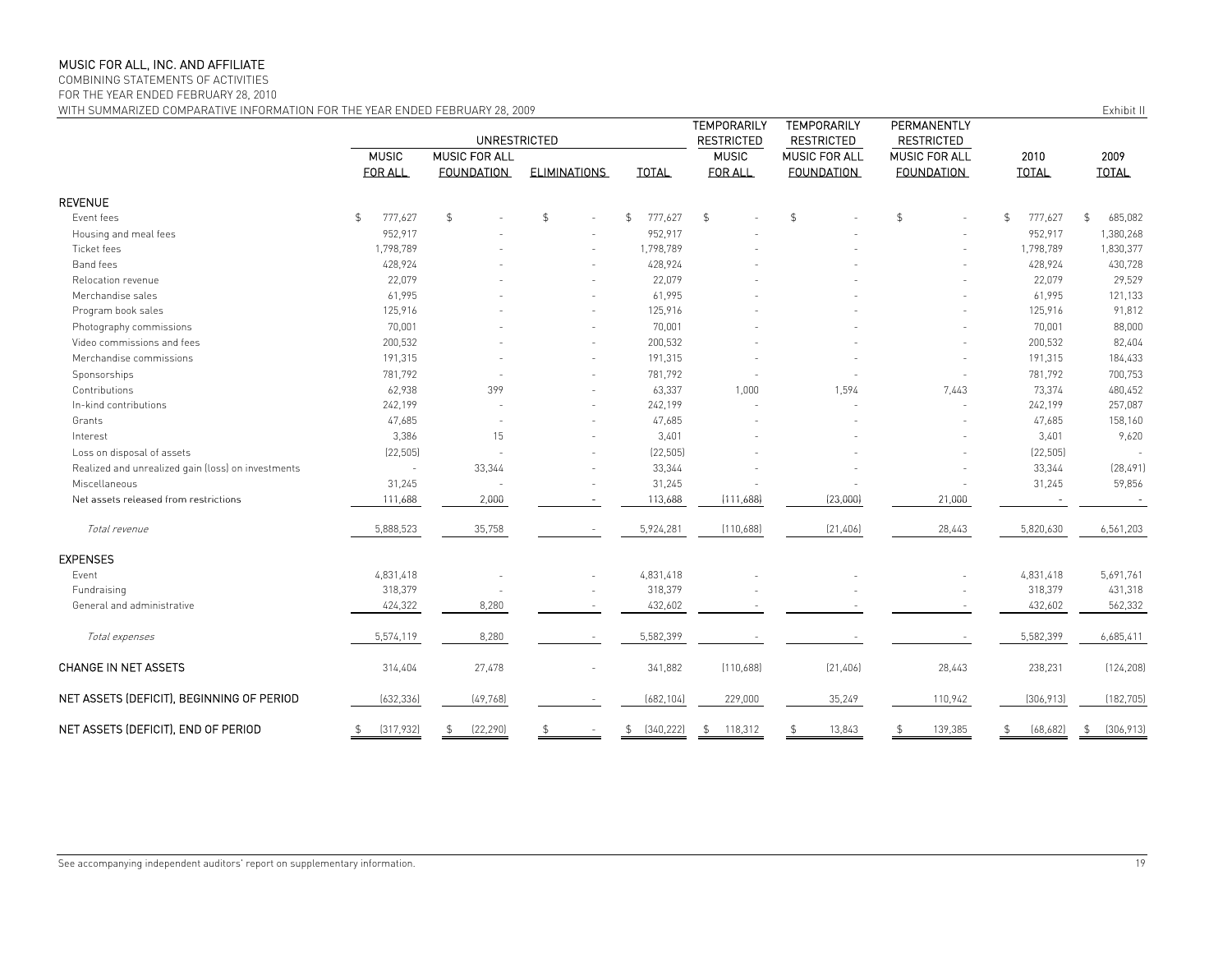COMBINING STATEMENTS OF ACTIVITIES

FOR THE YEAR ENDED FEBRUARY 28, 2010

WITH SUMMARIZED COMPARATIVE INFORMATION FOR THE YEAR ENDED FEBRUARY 28, 2009 FOR THE STREET ASSESSED FOR THE VEAR ENDED FEBRUARY 28, 2009

|                                                    |                               | <b>UNRESTRICTED</b> |                     |                  | TEMPORARILY<br><b>RESTRICTED</b> | <b>TEMPORARILY</b><br><b>RESTRICTED</b> | PERMANENTLY<br><b>RESTRICTED</b> |                |                  |
|----------------------------------------------------|-------------------------------|---------------------|---------------------|------------------|----------------------------------|-----------------------------------------|----------------------------------|----------------|------------------|
|                                                    | <b>MUSIC</b><br>MUSIC FOR ALL |                     |                     |                  | <b>MUSIC</b>                     | <b>MUSIC FOR ALL</b>                    | MUSIC FOR ALL                    | 2010           | 2009             |
|                                                    | FOR ALL                       | <b>FOUNDATION</b>   | <b>ELIMINATIONS</b> | <b>TOTAL</b>     | FOR ALL                          | <b>FOUNDATION</b>                       | <b>FOUNDATION</b>                | <b>TOTAL</b>   | <b>TOTAL</b>     |
| REVENUE                                            |                               |                     |                     |                  |                                  |                                         |                                  |                |                  |
| Event fees                                         | 777,627<br>\$                 | $\mathfrak{S}$      | $\mathfrak{L}$      | \$<br>777,627    | $\frac{1}{2}$                    | $\mathfrak{L}$                          | $\mathfrak{L}$                   | 777,627<br>\$  | \$<br>685,082    |
| Housing and meal fees                              | 952,917                       |                     |                     | 952,917          |                                  |                                         |                                  | 952,917        | 1,380,268        |
| Ticket fees                                        | 1,798,789                     |                     |                     | 1,798,789        |                                  |                                         |                                  | 1,798,789      | 1,830,377        |
| Band fees                                          | 428,924                       |                     |                     | 428,924          |                                  |                                         |                                  | 428,924        | 430,728          |
| Relocation revenue                                 | 22,079                        |                     |                     | 22,079           |                                  |                                         |                                  | 22,079         | 29,529           |
| Merchandise sales                                  | 61,995                        |                     |                     | 61,995           |                                  |                                         |                                  | 61,995         | 121,133          |
| Program book sales                                 | 125,916                       |                     |                     | 125,916          |                                  |                                         |                                  | 125,916        | 91,812           |
| Photography commissions                            | 70,001                        |                     |                     | 70,001           |                                  |                                         |                                  | 70,001         | 88,000           |
| Video commissions and fees                         | 200,532                       |                     |                     | 200,532          |                                  |                                         |                                  | 200,532        | 82,404           |
| Merchandise commissions                            | 191,315                       |                     |                     | 191,315          |                                  |                                         |                                  | 191,315        | 184,433          |
| Sponsorships                                       | 781,792                       |                     |                     | 781,792          |                                  |                                         |                                  | 781,792        | 700,753          |
| Contributions                                      | 62,938                        | 399                 |                     | 63,337           | 1,000                            | 1,594                                   | 7,443                            | 73,374         | 480,452          |
| In-kind contributions                              | 242,199                       |                     |                     | 242,199          |                                  |                                         |                                  | 242,199        | 257,087          |
| Grants                                             | 47,685                        |                     |                     | 47,685           |                                  |                                         |                                  | 47,685         | 158,160          |
| Interest                                           | 3,386                         | 15                  |                     | 3,401            |                                  |                                         |                                  | 3,401          | 9,620            |
| Loss on disposal of assets                         | (22, 505)                     |                     |                     | (22, 505)        |                                  |                                         |                                  | (22, 505)      |                  |
| Realized and unrealized gain (loss) on investments |                               | 33,344              |                     | 33,344           |                                  |                                         |                                  | 33,344         | [28, 491]        |
| Miscellaneous                                      | 31,245                        |                     |                     | 31,245           |                                  |                                         |                                  | 31,245         | 59,856           |
| Net assets released from restrictions              | 111,688                       | 2,000               |                     | 113,688          | (111,688)                        | (23,000)                                | 21,000                           |                |                  |
| Total revenue                                      | 5,888,523                     | 35,758              |                     | 5,924,281        | (110,688)                        | (21, 406)                               | 28,443                           | 5,820,630      | 6,561,203        |
| <b>EXPENSES</b>                                    |                               |                     |                     |                  |                                  |                                         |                                  |                |                  |
| Event                                              | 4,831,418                     |                     |                     | 4,831,418        |                                  |                                         |                                  | 4,831,418      | 5,691,761        |
| Fundraising                                        | 318,379                       |                     |                     | 318,379          |                                  |                                         |                                  | 318,379        | 431,318          |
| General and administrative                         | 424,322                       | 8,280               |                     | 432,602          |                                  |                                         |                                  | 432,602        | 562,332          |
| Total expenses                                     | 5,574,119                     | 8,280               |                     | 5,582,399        |                                  |                                         |                                  | 5,582,399      | 6,685,411        |
| <b>CHANGE IN NET ASSETS</b>                        | 314,404                       | 27,478              |                     | 341,882          | (110,688)                        | (21, 406)                               | 28,443                           | 238,231        | (124, 208)       |
| NET ASSETS (DEFICIT), BEGINNING OF PERIOD          | (632, 336)                    | (49, 768)           |                     | (682, 104)       | 229,000                          | 35,249                                  | 110,942                          | [306, 913]     | (182, 705)       |
| NET ASSETS (DEFICIT), END OF PERIOD                | [317,932]<br>\$               | [22, 290]<br>\$     | \$                  | \$<br>[340, 222] | 118,312<br>\$                    | 13,843                                  | 139,385                          | \$<br>[68,682] | \$<br>[306, 913] |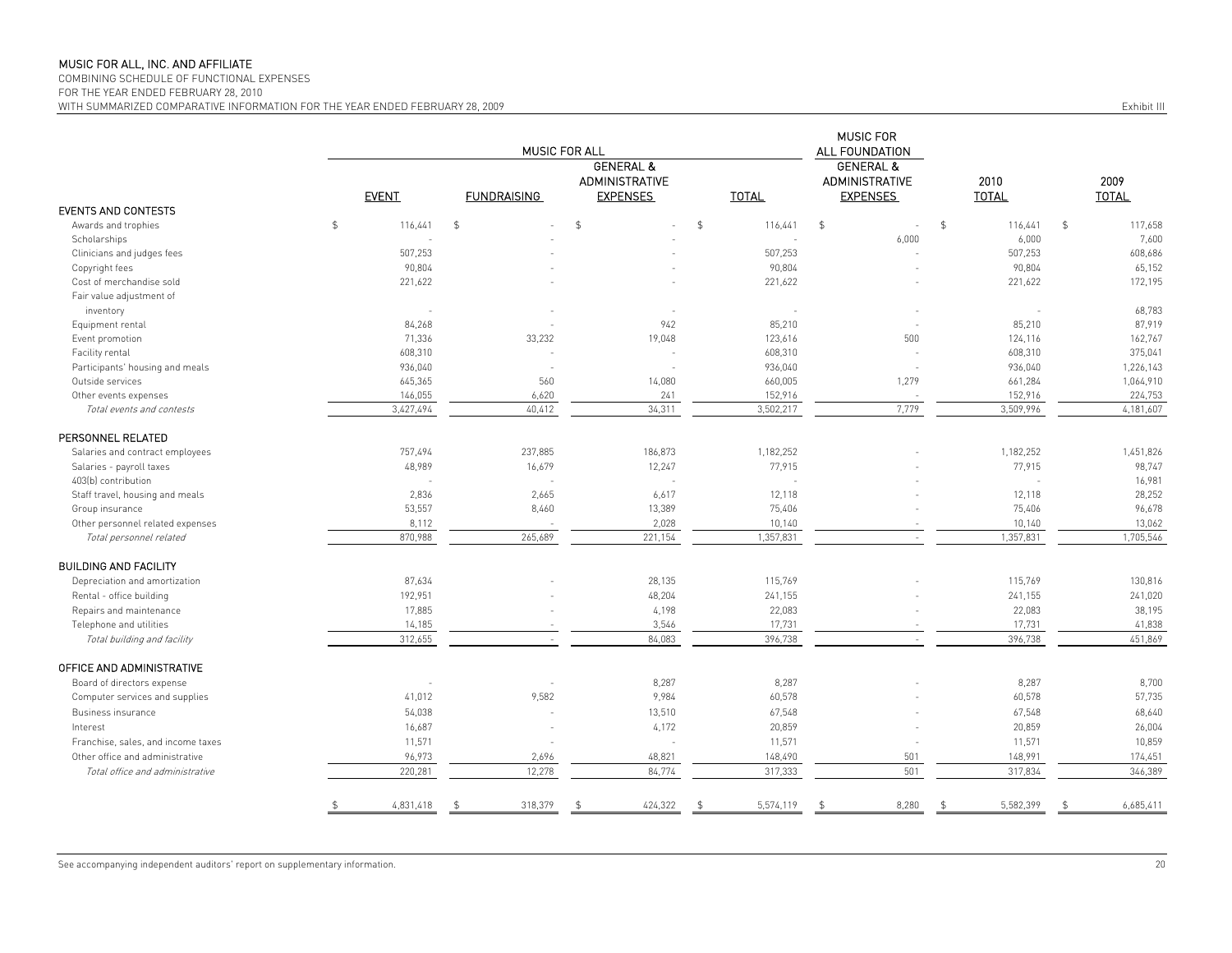COMBINING SCHEDULE OF FUNCTIONAL EXPENSES

FOR THE YEAR ENDED FEBRUARY 28, 2010

WITH SUMMARIZED COMPARATIVE INFORMATION FOR THE YEAR ENDED FEBRUARY 28, 2009 **Exhibit III** COMPARATIVE INFORMATION FOR THE YEAR ENDED FEBRUARY 28, 2009

|                                    |               |              | MUSIC FOR ALL            | MUSIC FOR<br>ALL FOUNDATION                   |                |              |                                               |                           |                           |
|------------------------------------|---------------|--------------|--------------------------|-----------------------------------------------|----------------|--------------|-----------------------------------------------|---------------------------|---------------------------|
|                                    |               |              |                          | <b>GENERAL &amp;</b><br><b>ADMINISTRATIVE</b> |                |              | <b>GENERAL &amp;</b><br><b>ADMINISTRATIVE</b> | 2010                      | 2009                      |
|                                    |               | <b>EVENT</b> | <b>FUNDRAISING</b>       | <b>EXPENSES</b>                               |                | <b>TOTAL</b> | <b>EXPENSES</b>                               | <b>TOTAL</b>              | <b>TOTAL</b>              |
| <b>EVENTS AND CONTESTS</b>         |               |              |                          |                                               |                |              |                                               |                           |                           |
| Awards and trophies                | $\frac{1}{2}$ | 116,441      | \$<br>ä,                 | $\frac{4}{5}$                                 | $\mathfrak{P}$ | 116,441      | $\mathfrak{S}$<br>$\sim$                      | $\mathfrak{S}$<br>116,441 | $\mathfrak{S}$<br>117,658 |
| Scholarships                       |               |              |                          |                                               |                | $\sim$       | 6,000                                         | 6,000                     | 7,600                     |
| Clinicians and judges fees         |               | 507,253      |                          |                                               |                | 507,253      |                                               | 507,253                   | 608,686                   |
| Copyright fees                     |               | 90,804       |                          |                                               |                | 90,804       |                                               | 90,804                    | 65,152                    |
| Cost of merchandise sold           |               | 221,622      |                          |                                               |                | 221,622      |                                               | 221,622                   | 172,195                   |
| Fair value adjustment of           |               |              |                          |                                               |                |              |                                               |                           |                           |
| inventory                          |               |              |                          |                                               |                | $\sim$       |                                               |                           | 68,783                    |
| Equipment rental                   |               | 84,268       |                          | 942                                           |                | 85,210       |                                               | 85,210                    | 87,919                    |
| Event promotion                    |               | 71,336       | 33,232                   | 19,048                                        |                | 123,616      | 500                                           | 124,116                   | 162,767                   |
| Facility rental                    |               | 608,310      |                          |                                               |                | 608,310      |                                               | 608,310                   | 375,041                   |
| Participants' housing and meals    |               | 936,040      | ÷.                       |                                               |                | 936,040      | $\overline{a}$                                | 936,040                   | 1,226,143                 |
| Outside services                   |               | 645,365      | 560                      | 14,080                                        |                | 660,005      | 1,279                                         | 661,284                   | 1,064,910                 |
| Other events expenses              |               | 146,055      | 6,620                    | 241                                           |                | 152,916      |                                               | 152,916                   | 224,753                   |
| Total events and contests          |               | 3,427,494    | 40,412                   | 34,311                                        |                | 3,502,217    | 7,779                                         | 3,509,996                 | 4,181,607                 |
| PERSONNEL RELATED                  |               |              |                          |                                               |                |              |                                               |                           |                           |
| Salaries and contract employees    |               | 757,494      | 237,885                  | 186,873                                       |                | 1,182,252    |                                               | 1,182,252                 | 1,451,826                 |
| Salaries - payroll taxes           |               | 48,989       | 16,679                   | 12,247                                        |                | 77,915       |                                               | 77,915                    | 98,747                    |
| 403(b) contribution                |               | ÷.           | $\sim$                   | $\sim$                                        |                | $\sim$       |                                               | ÷,                        | 16,981                    |
| Staff travel, housing and meals    |               | 2,836        | 2,665                    | 6,617                                         |                | 12,118       |                                               | 12,118                    | 28,252                    |
| Group insurance                    |               | 53,557       | 8,460                    | 13,389                                        |                | 75,406       |                                               | 75,406                    | 96,678                    |
| Other personnel related expenses   |               | 8,112        |                          | 2,028                                         |                | 10,140       |                                               | 10,140                    | 13,062                    |
| Total personnel related            |               | 870,988      | 265,689                  | 221,154                                       |                | 1,357,831    | $\sim$                                        | 1,357,831                 | 1,705,546                 |
| <b>BUILDING AND FACILITY</b>       |               |              |                          |                                               |                |              |                                               |                           |                           |
| Depreciation and amortization      |               | 87,634       |                          | 28,135                                        |                | 115,769      |                                               | 115,769                   | 130,816                   |
| Rental - office building           |               | 192,951      |                          | 48,204                                        |                | 241,155      |                                               | 241,155                   | 241,020                   |
|                                    |               |              |                          |                                               |                |              |                                               |                           |                           |
| Repairs and maintenance            |               | 17,885       |                          | 4,198                                         |                | 22,083       |                                               | 22,083                    | 38,195                    |
| Telephone and utilities            |               | 14,185       |                          | 3,546                                         |                | 17,731       |                                               | 17,731                    | 41,838                    |
| Total building and facility        |               | 312,655      | $\sim$                   | 84,083                                        |                | 396,738      | $\sim$                                        | 396,738                   | 451,869                   |
| OFFICE AND ADMINISTRATIVE          |               |              |                          |                                               |                |              |                                               |                           |                           |
| Board of directors expense         |               |              | ÷,                       | 8,287                                         |                | 8,287        |                                               | 8,287                     | 8,700                     |
| Computer services and supplies     |               | 41,012       | 9,582                    | 9,984                                         |                | 60,578       |                                               | 60,578                    | 57,735                    |
| Business insurance                 |               | 54,038       | ä,                       | 13,510                                        |                | 67,548       |                                               | 67,548                    | 68,640                    |
| Interest                           |               | 16,687       |                          | 4,172                                         |                | 20,859       |                                               | 20,859                    | 26,004                    |
| Franchise, sales, and income taxes |               | 11,571       | $\overline{\phantom{a}}$ | ÷                                             |                | 11,571       |                                               | 11,571                    | 10,859                    |
| Other office and administrative    |               | 96,973       | 2,696                    | 48,821                                        |                | 148,490      | 501                                           | 148,991                   | 174,451                   |
| Total office and administrative    |               | 220,281      | 12,278                   | 84,774                                        |                | 317,333      | 501                                           | 317,834                   | 346,389                   |
|                                    |               |              |                          |                                               |                |              |                                               |                           |                           |
|                                    | \$            | 4,831,418    | 318,379                  | 424,322<br>s.                                 | - \$           | 5,574,119    | 8,280<br>\$                                   | 5,582,399<br>\$           | 6,685,411<br>-\$          |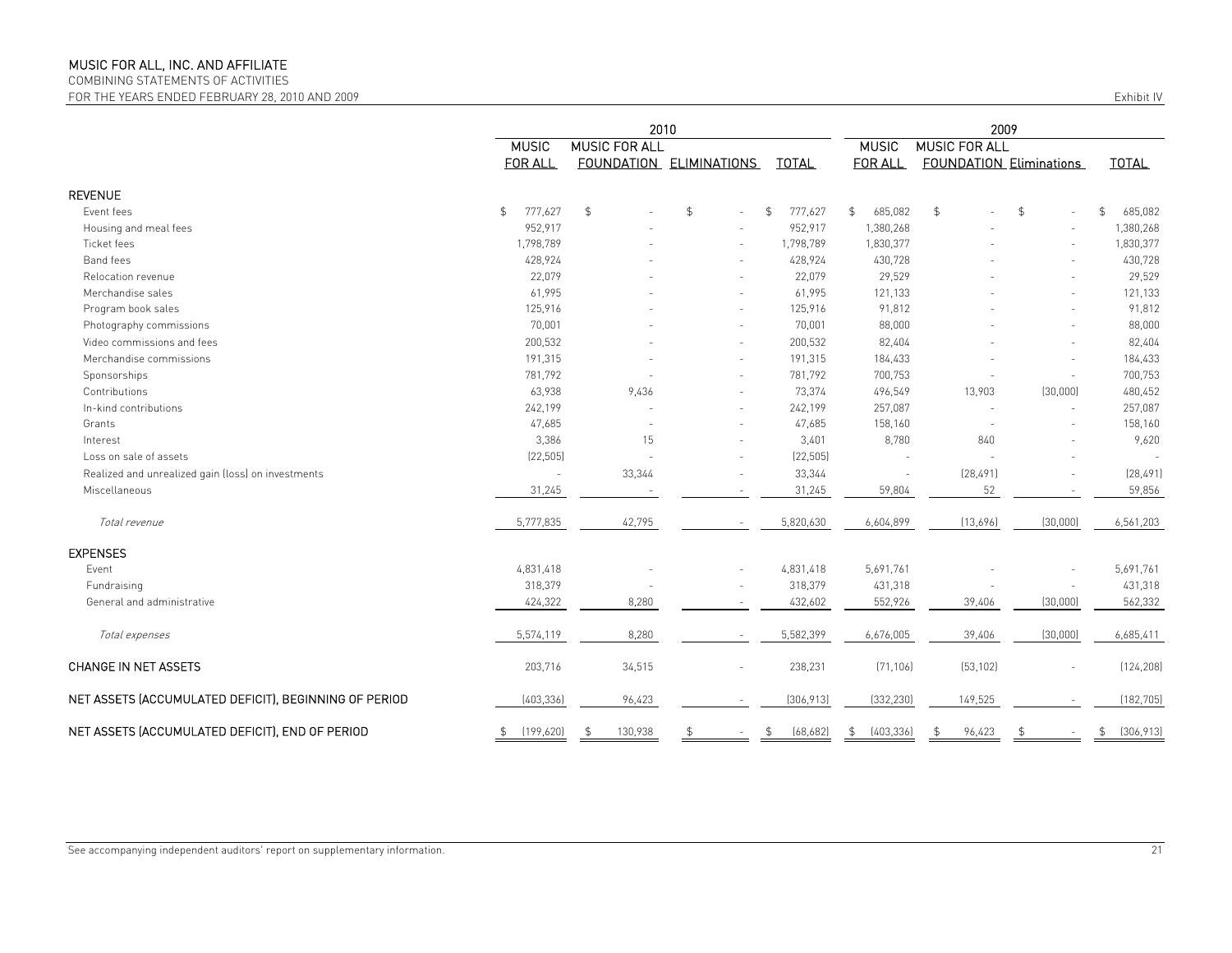COMBINING STATEMENTS OF ACTIVITIES

FOR THE YEARS ENDED FEBRUARY 28, 2010 AND 2009 Exhibit IV

|                                                       | 2010                     |                      |                         |                 |                  | 2009                           |                |                  |  |
|-------------------------------------------------------|--------------------------|----------------------|-------------------------|-----------------|------------------|--------------------------------|----------------|------------------|--|
|                                                       | <b>MUSIC</b>             | <b>MUSIC FOR ALL</b> |                         |                 | <b>MUSIC</b>     | <b>MUSIC FOR ALL</b>           |                |                  |  |
|                                                       | <b>FOR ALL</b>           |                      | FOUNDATION ELIMINATIONS | <b>TOTAL</b>    | <b>FOR ALL</b>   | <b>FOUNDATION Eliminations</b> |                | <b>TOTAL</b>     |  |
| <b>REVENUE</b>                                        |                          |                      |                         |                 |                  |                                |                |                  |  |
| Event fees                                            | 777,627<br>$\frac{1}{2}$ | $\mathfrak{P}$       | \$                      | 777,627<br>\$   | \$<br>685,082    | \$                             | $\mathfrak{P}$ | 685,082<br>\$    |  |
| Housing and meal fees                                 | 952,917                  |                      |                         | 952,917         | 1,380,268        |                                |                | 1,380,268        |  |
| Ticket fees                                           | 1,798,789                |                      |                         | 1,798,789       | 1,830,377        |                                |                | 1,830,377        |  |
| Band fees                                             | 428,924                  |                      |                         | 428,924         | 430,728          |                                |                | 430,728          |  |
| Relocation revenue                                    | 22,079                   |                      |                         | 22,079          | 29,529           |                                |                | 29,529           |  |
| Merchandise sales                                     | 61,995                   |                      |                         | 61,995          | 121,133          |                                |                | 121,133          |  |
| Program book sales                                    | 125,916                  |                      |                         | 125,916         | 91,812           |                                |                | 91,812           |  |
| Photography commissions                               | 70,001                   |                      |                         | 70,001          | 88,000           |                                |                | 88,000           |  |
| Video commissions and fees                            | 200,532                  |                      |                         | 200,532         | 82,404           |                                |                | 82,404           |  |
| Merchandise commissions                               | 191,315                  |                      |                         | 191,315         | 184,433          |                                |                | 184,433          |  |
| Sponsorships                                          | 781,792                  |                      |                         | 781,792         | 700,753          |                                |                | 700,753          |  |
| Contributions                                         | 63,938                   | 9,436                |                         | 73,374          | 496,549          | 13,903                         | (30,000)       | 480,452          |  |
| In-kind contributions                                 | 242,199                  |                      |                         | 242,199         | 257,087          |                                |                | 257,087          |  |
| Grants                                                | 47,685                   |                      |                         | 47,685          | 158,160          |                                |                | 158,160          |  |
| Interest                                              | 3,386                    | 15                   |                         | 3,401           | 8,780            | 840                            |                | 9,620            |  |
| Loss on sale of assets                                | (22, 505)                |                      |                         | (22, 505)       |                  |                                |                |                  |  |
| Realized and unrealized gain (loss) on investments    | $\sim$                   | 33,344               |                         | 33,344          |                  | (28, 491)                      |                | (28, 491)        |  |
| Miscellaneous                                         | 31,245                   |                      |                         | 31,245          | 59,804           | 52                             |                | 59,856           |  |
| Total revenue                                         | 5,777,835                | 42,795               |                         | 5,820,630       | 6,604,899        | (13,696)                       | (30,000)       | 6,561,203        |  |
| <b>EXPENSES</b>                                       |                          |                      |                         |                 |                  |                                |                |                  |  |
| Event                                                 | 4,831,418                |                      |                         | 4,831,418       | 5,691,761        |                                |                | 5,691,761        |  |
| Fundraising                                           | 318,379                  |                      |                         | 318,379         | 431,318          |                                |                | 431,318          |  |
| General and administrative                            | 424,322                  | 8,280                |                         | 432,602         | 552,926          | 39,406                         | (30,000)       | 562,332          |  |
| Total expenses                                        | 5,574,119                | 8,280                |                         | 5,582,399       | 6,676,005        | 39,406                         | (30,000)       | 6,685,411        |  |
| <b>CHANGE IN NET ASSETS</b>                           | 203,716                  | 34,515               |                         | 238,231         | (71, 106)        | (53, 102)                      |                | (124, 208)       |  |
| NET ASSETS (ACCUMULATED DEFICIT), BEGINNING OF PERIOD | [403,336]                | 96,423               |                         | (306, 913)      | (332, 230)       | 149,525                        |                | (182, 705)       |  |
| NET ASSETS (ACCUMULATED DEFICIT), END OF PERIOD       | \$<br>(199, 620)         | 130,938              | \$                      | (68, 682)<br>\$ | (403, 336)<br>\$ | 96,423                         |                | [306, 913]<br>\$ |  |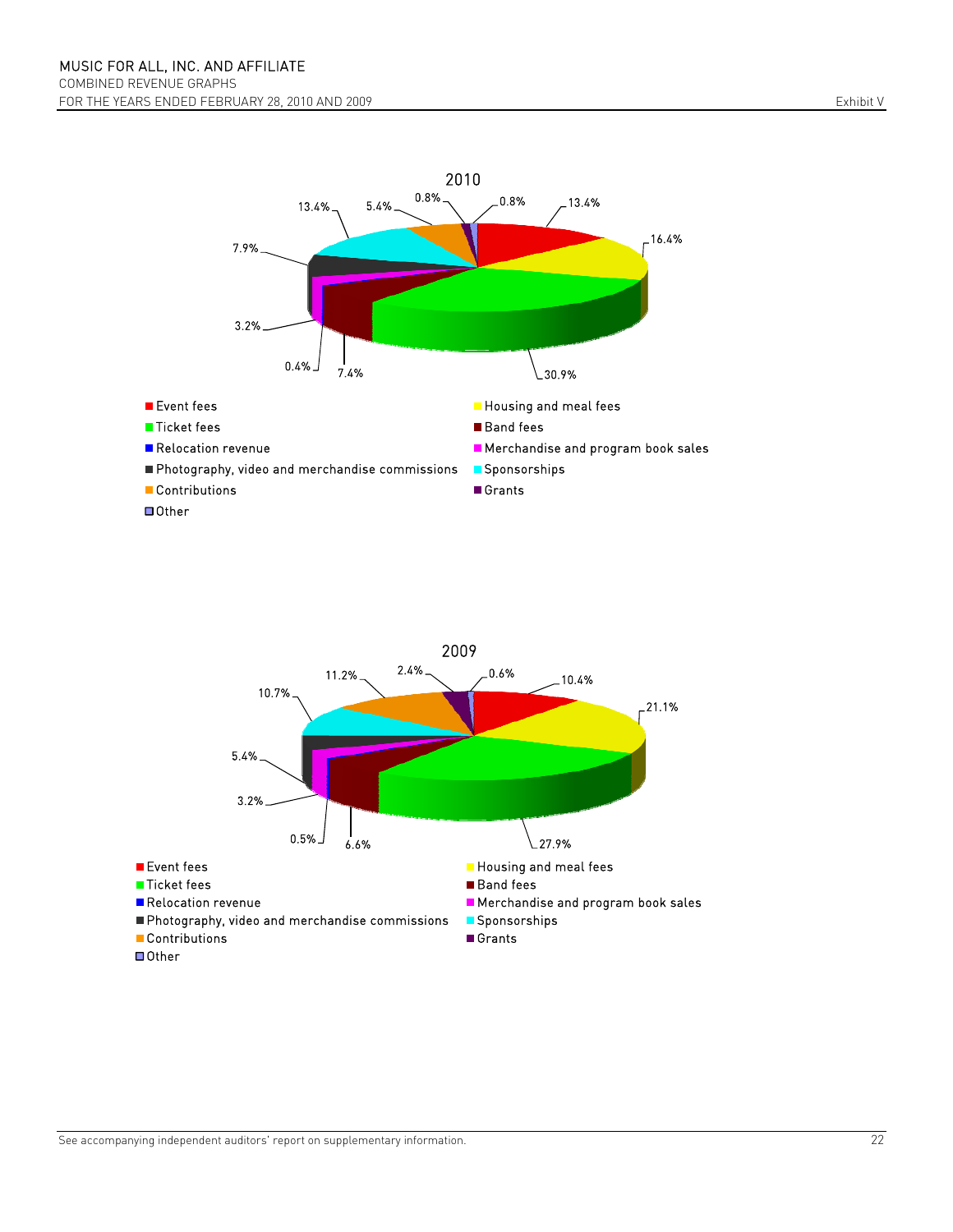



See accompanying independent auditors' report on supplementary information. 22